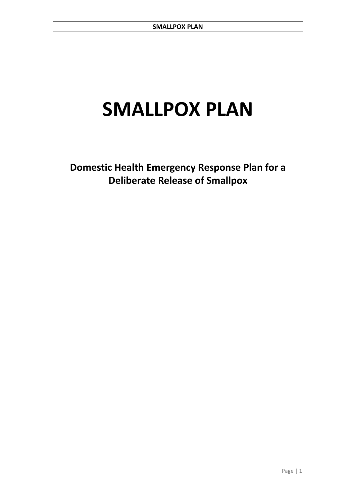# **SMALLPOX PLAN**

**Domestic Health Emergency Response Plan for a Deliberate Release of Smallpox**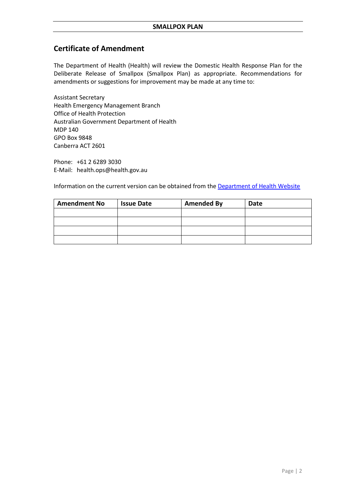## **Certificate of Amendment**

The Department of Health (Health) will review the Domestic Health Response Plan for the Deliberate Release of Smallpox (Smallpox Plan) as appropriate. Recommendations for amendments or suggestions for improvement may be made at any time to:

Assistant Secretary Health Emergency Management Branch Office of Health Protection Australian Government Department of Health MDP 140 GPO Box 9848 Canberra ACT 2601

Phone: +61 2 6289 3030 E-Mail: health.ops@health.gov.au

Information on the current version can be obtained from the [Department of Health Website](https://www.health.gov.au/)

| <b>Amendment No</b> | <b>Issue Date</b> | <b>Amended By</b> | <b>Date</b> |
|---------------------|-------------------|-------------------|-------------|
|                     |                   |                   |             |
|                     |                   |                   |             |
|                     |                   |                   |             |
|                     |                   |                   |             |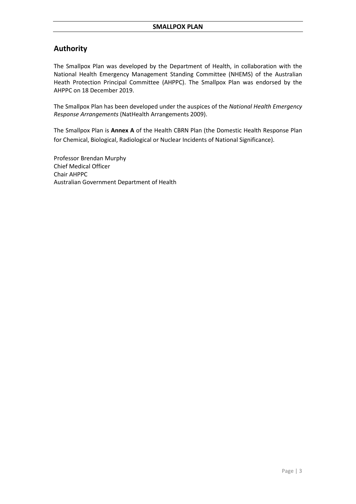## **Authority**

The Smallpox Plan was developed by the Department of Health, in collaboration with the National Health Emergency Management Standing Committee (NHEMS) of the Australian Heath Protection Principal Committee (AHPPC). The Smallpox Plan was endorsed by the AHPPC on 18 December 2019.

The Smallpox Plan has been developed under the auspices of the *National Health Emergency Response Arrangements* (NatHealth Arrangements 2009).

The Smallpox Plan is **Annex A** of the Health CBRN Plan (the Domestic Health Response Plan for Chemical, Biological, Radiological or Nuclear Incidents of National Significance).

Professor Brendan Murphy Chief Medical Officer Chair AHPPC Australian Government Department of Health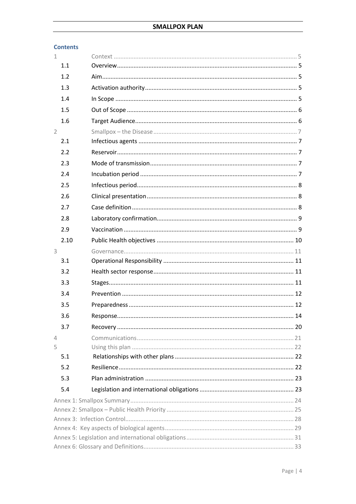| <b>Contents</b> |  |
|-----------------|--|
| 1               |  |
| 1.1             |  |
| 1.2             |  |
| 1.3             |  |
| 1.4             |  |
| 1.5             |  |
| 1.6             |  |
| $\overline{2}$  |  |
| 2.1             |  |
| 2.2             |  |
| 2.3             |  |
| 2.4             |  |
| 2.5             |  |
| 2.6             |  |
| 2.7             |  |
| 2.8             |  |
| 2.9             |  |
| 2.10            |  |
| 3               |  |
| 3.1             |  |
| 3.2             |  |
| 3.3             |  |
| 3.4             |  |
| 3.5             |  |
| 3.6             |  |
| 3.7             |  |
| $\overline{4}$  |  |
| 5               |  |
| 5.1             |  |
| 5.2             |  |
| 5.3             |  |
| 5.4             |  |
|                 |  |
|                 |  |
|                 |  |
|                 |  |
|                 |  |
|                 |  |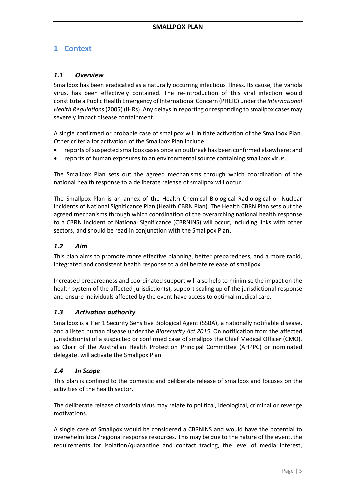## <span id="page-4-0"></span>**1 Context**

## <span id="page-4-1"></span>*1.1 Overview*

Smallpox has been eradicated as a naturally occurring infectious illness. Its cause, the variola virus, has been effectively contained. The re-introduction of this viral infection would constitute a Public Health Emergency of International Concern (PHEIC) under the *International Health Regulations*(2005) (IHRs). Any delays in reporting or responding to smallpox cases may severely impact disease containment.

A single confirmed or probable case of smallpox will initiate activation of the Smallpox Plan. Other criteria for activation of the Smallpox Plan include:

- reports of suspected smallpox cases once an outbreak has been confirmed elsewhere; and
- reports of human exposures to an environmental source containing smallpox virus.

The Smallpox Plan sets out the agreed mechanisms through which coordination of the national health response to a deliberate release of smallpox will occur.

The Smallpox Plan is an annex of the Health Chemical Biological Radiological or Nuclear Incidents of National Significance Plan (Health CBRN Plan). The Health CBRN Plan sets out the agreed mechanisms through which coordination of the overarching national health response to a CBRN Incident of National Significance (CBRNINS) will occur, including links with other sectors, and should be read in conjunction with the Smallpox Plan.

## <span id="page-4-2"></span>*1.2 Aim*

This plan aims to promote more effective planning, better preparedness, and a more rapid, integrated and consistent health response to a deliberate release of smallpox.

Increased preparedness and coordinated support will also help to minimise the impact on the health system of the affected jurisdiction(s), support scaling up of the jurisdictional response and ensure individuals affected by the event have access to optimal medical care.

## <span id="page-4-3"></span>*1.3 Activation authority*

Smallpox is a Tier 1 Security Sensitive Biological Agent (SSBA), a nationally notifiable disease, and a listed human disease under the *Biosecurity Act 2015.* On notification from the affected jurisdiction(s) of a suspected or confirmed case of smallpox the Chief Medical Officer (CMO), as Chair of the Australian Health Protection Principal Committee (AHPPC) or nominated delegate, will activate the Smallpox Plan.

## <span id="page-4-4"></span>*1.4 In Scope*

This plan is confined to the domestic and deliberate release of smallpox and focuses on the activities of the health sector.

The deliberate release of variola virus may relate to political, ideological, criminal or revenge motivations.

A single case of Smallpox would be considered a CBRNINS and would have the potential to overwhelm local/regional response resources. This may be due to the nature of the event, the requirements for isolation/quarantine and contact tracing, the level of media interest,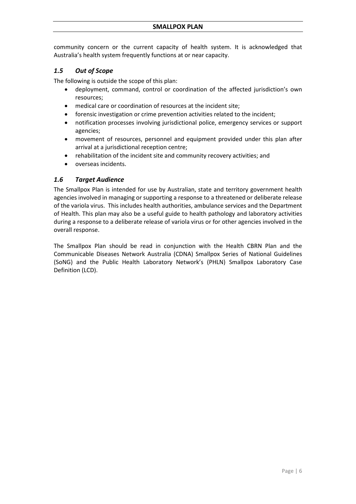community concern or the current capacity of health system. It is acknowledged that Australia's health system frequently functions at or near capacity.

## <span id="page-5-0"></span>*1.5 Out of Scope*

The following is outside the scope of this plan:

- deployment, command, control or coordination of the affected jurisdiction's own resources;
- medical care or coordination of resources at the incident site;
- forensic investigation or crime prevention activities related to the incident;
- notification processes involving jurisdictional police, emergency services or support agencies;
- movement of resources, personnel and equipment provided under this plan after arrival at a jurisdictional reception centre;
- rehabilitation of the incident site and community recovery activities; and
- overseas incidents.

## <span id="page-5-1"></span>*1.6 Target Audience*

The Smallpox Plan is intended for use by Australian, state and territory government health agencies involved in managing or supporting a response to a threatened or deliberate release of the variola virus. This includes health authorities, ambulance services and the Department of Health. This plan may also be a useful guide to health pathology and laboratory activities during a response to a deliberate release of variola virus or for other agencies involved in the overall response.

The Smallpox Plan should be read in conjunction with the Health CBRN Plan and the Communicable Diseases Network Australia (CDNA) Smallpox Series of National Guidelines (SoNG) and the Public Health Laboratory Network's (PHLN) Smallpox Laboratory Case Definition (LCD).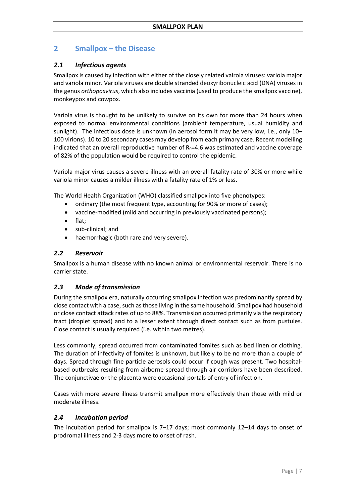## <span id="page-6-0"></span>**2 Smallpox – the Disease**

## <span id="page-6-1"></span>*2.1 Infectious agents*

Smallpox is caused by infection with either of the closely related vairola viruses: variola major and variola minor. Variola viruses are double stranded deoxyribonucleic acid (DNA) viruses in the genus *orthopoxvirus*, which also includes vaccinia (used to produce the smallpox vaccine), monkeypox and cowpox.

Variola virus is thought to be unlikely to survive on its own for more than 24 hours when exposed to normal environmental conditions (ambient temperature, usual humidity and sunlight). The infectious dose is unknown (in aerosol form it may be very low, i.e., only 10– 100 virions). 10 to 20 secondary cases may develop from each primary case. Recent modelling indicated that an overall reproductive number of  $R_0$ =4.6 was estimated and vaccine coverage of 82% of the population would be required to control the epidemic.

Variola major virus causes a severe illness with an overall fatality rate of 30% or more while variola minor causes a milder illness with a fatality rate of 1% or less.

The World Health Organization (WHO) classified smallpox into five phenotypes:

- ordinary (the most frequent type, accounting for 90% or more of cases);
- vaccine-modified (mild and occurring in previously vaccinated persons);
- flat;
- sub-clinical; and
- haemorrhagic (both rare and very severe).

## <span id="page-6-2"></span>*2.2 Reservoir*

Smallpox is a human disease with no known animal or environmental reservoir. There is no carrier state.

## <span id="page-6-3"></span>*2.3 Mode of transmission*

During the smallpox era, naturally occurring smallpox infection was predominantly spread by close contact with a case, such as those living in the same household. Smallpox had household or close contact attack rates of up to 88%. Transmission occurred primarily via the respiratory tract (droplet spread) and to a lesser extent through direct contact such as from pustules. Close contact is usually required (i.e. within two metres).

Less commonly, spread occurred from contaminated fomites such as bed linen or clothing. The duration of infectivity of fomites is unknown, but likely to be no more than a couple of days. Spread through fine particle aerosols could occur if cough was present. Two hospitalbased outbreaks resulting from airborne spread through air corridors have been described. The conjunctivae or the placenta were occasional portals of entry of infection.

Cases with more severe illness transmit smallpox more effectively than those with mild or moderate illness.

## <span id="page-6-4"></span>*2.4 Incubation period*

The incubation period for smallpox is 7–17 days; most commonly 12–14 days to onset of prodromal illness and 2-3 days more to onset of rash.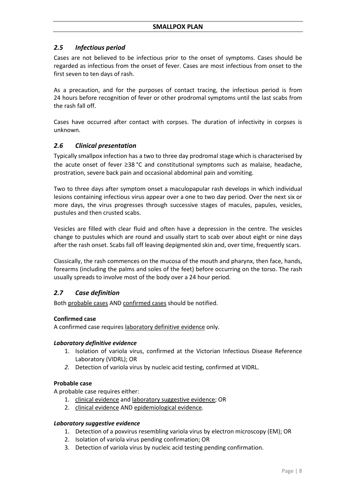## <span id="page-7-0"></span>*2.5 Infectious period*

Cases are not believed to be infectious prior to the onset of symptoms. Cases should be regarded as infectious from the onset of fever. Cases are most infectious from onset to the first seven to ten days of rash.

As a precaution, and for the purposes of contact tracing, the infectious period is from 24 hours before recognition of fever or other prodromal symptoms until the last scabs from the rash fall off.

Cases have occurred after contact with corpses. The duration of infectivity in corpses is unknown.

## <span id="page-7-1"></span>*2.6 Clinical presentation*

Typically smallpox infection has a two to three day prodromal stage which is characterised by the acute onset of fever ≥38 °C and constitutional symptoms such as malaise, headache, prostration, severe back pain and occasional abdominal pain and vomiting.

Two to three days after symptom onset a maculopapular rash develops in which individual lesions containing infectious virus appear over a one to two day period. Over the next six or more days, the virus progresses through successive stages of macules, papules, vesicles, pustules and then crusted scabs.

Vesicles are filled with clear fluid and often have a depression in the centre. The vesicles change to pustules which are round and usually start to scab over about eight or nine days after the rash onset. Scabs fall off leaving depigmented skin and, over time, frequently scars.

Classically, the rash commences on the mucosa of the mouth and pharynx, then face, hands, forearms (including the palms and soles of the feet) before occurring on the torso. The rash usually spreads to involve most of the body over a 24 hour period.

## <span id="page-7-2"></span>*2.7 Case definition*

Both probable cases AND confirmed cases should be notified.

#### **Confirmed case**

A confirmed case requires laboratory definitive evidence only.

#### *Laboratory definitive evidence*

- 1. Isolation of variola virus, confirmed at the Victorian Infectious Disease Reference Laboratory (VIDRL); OR
- *2.* Detection of variola virus by nucleic acid testing, confirmed at VIDRL.

#### **Probable case**

A probable case requires either:

- 1. clinical evidence and laboratory suggestive evidence; OR
- 2. clinical evidence AND epidemiological evidence.

#### *Laboratory suggestive evidence*

- 1. Detection of a poxvirus resembling variola virus by electron microscopy (EM); OR
- 2. Isolation of variola virus pending confirmation; OR
- 3. Detection of variola virus by nucleic acid testing pending confirmation.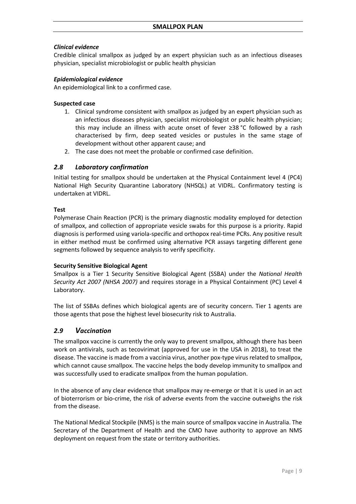## *Clinical evidence*

Credible clinical smallpox as judged by an expert physician such as an infectious diseases physician, specialist microbiologist or public health physician

## *Epidemiological evidence*

An epidemiological link to a confirmed case.

## **Suspected case**

- 1. Clinical syndrome consistent with smallpox as judged by an expert physician such as an infectious diseases physician, specialist microbiologist or public health physician; this may include an illness with acute onset of fever ≥38 °C followed by a rash characterised by firm, deep seated vesicles or pustules in the same stage of development without other apparent cause; and
- 2. The case does not meet the probable or confirmed case definition.

## <span id="page-8-0"></span>*2.8 Laboratory confirmation*

Initial testing for smallpox should be undertaken at the Physical Containment level 4 (PC4) National High Security Quarantine Laboratory (NHSQL) at VIDRL. Confirmatory testing is undertaken at VIDRL.

## **Test**

Polymerase Chain Reaction (PCR) is the primary diagnostic modality employed for detection of smallpox, and collection of appropriate vesicle swabs for this purpose is a priority. Rapid diagnosis is performed using variola-specific and orthopox real-time PCRs. Any positive result in either method must be confirmed using alternative PCR assays targeting different gene segments followed by sequence analysis to verify specificity.

#### **Security Sensitive Biological Agent**

Smallpox is a Tier 1 Security Sensitive Biological Agent (SSBA) under the *National Health Security Act 2007 (NHSA 2007)* and requires storage in a Physical Containment (PC) Level 4 Laboratory.

The list of SSBAs defines which biological agents are of security concern. Tier 1 agents are those agents that pose the highest level biosecurity risk to Australia.

## <span id="page-8-1"></span>*2.9 Vaccination*

The smallpox vaccine is currently the only way to prevent smallpox, although there has been work on antivirals, such as tecovirimat (approved for use in the USA in 2018), to treat the disease. The vaccine is made from a vaccinia virus, another pox-type virus related to smallpox, which cannot cause smallpox. The vaccine helps the body develop immunity to smallpox and was successfully used to eradicate smallpox from the human population.

In the absence of any clear evidence that smallpox may re-emerge or that it is used in an act of bioterrorism or bio-crime, the risk of adverse events from the vaccine outweighs the risk from the disease.

The National Medical Stockpile (NMS) is the main source of smallpox vaccine in Australia. The Secretary of the Department of Health and the CMO have authority to approve an NMS deployment on request from the state or territory authorities.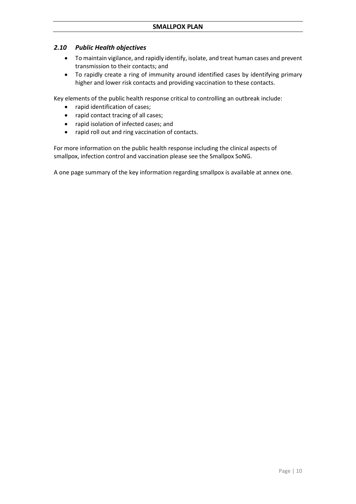## <span id="page-9-0"></span>*2.10 Public Health objectives*

- To maintain vigilance, and rapidly identify, isolate, and treat human cases and prevent transmission to their contacts; and
- To rapidly create a ring of immunity around identified cases by identifying primary higher and lower risk contacts and providing vaccination to these contacts.

Key elements of the public health response critical to controlling an outbreak include:

- rapid identification of cases;
- rapid contact tracing of all cases;
- rapid isolation of infected cases; and
- rapid roll out and ring vaccination of contacts.

For more information on the public health response including the clinical aspects of smallpox, infection control and vaccination please see the Smallpox SoNG.

A one page summary of the key information regarding smallpox is available at annex one.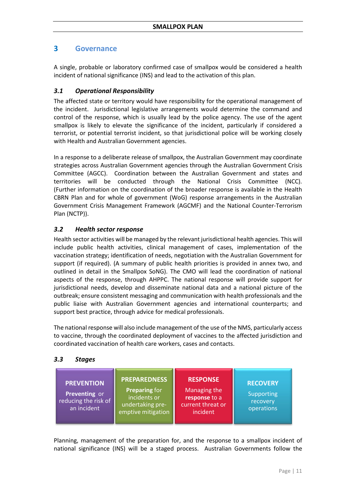## <span id="page-10-0"></span>**3 Governance**

A single, probable or laboratory confirmed case of smallpox would be considered a health incident of national significance (INS) and lead to the activation of this plan.

## <span id="page-10-1"></span>*3.1 Operational Responsibility*

The affected state or territory would have responsibility for the operational management of the incident. Jurisdictional legislative arrangements would determine the command and control of the response, which is usually lead by the police agency. The use of the agent smallpox is likely to elevate the significance of the incident, particularly if considered a terrorist, or potential terrorist incident, so that jurisdictional police will be working closely with Health and Australian Government agencies.

In a response to a deliberate release of smallpox, the Australian Government may coordinate strategies across Australian Government agencies through the Australian Government Crisis Committee (AGCC). Coordination between the Australian Government and states and territories will be conducted through the National Crisis Committee (NCC). (Further information on the coordination of the broader response is available in the Health CBRN Plan and for whole of government (WoG) response arrangements in the Australian Government Crisis Management Framework (AGCMF) and the National Counter-Terrorism Plan (NCTP)).

## <span id="page-10-2"></span>*3.2 Health sector response*

Health sector activities will be managed by the relevant jurisdictional health agencies. This will include public health activities, clinical management of cases, implementation of the vaccination strategy; identification of needs, negotiation with the Australian Government for support (if required). (A summary of public health priorities is provided in annex two, and outlined in detail in the Smallpox SoNG). The CMO will lead the coordination of national aspects of the response, through AHPPC. The national response will provide support for jurisdictional needs, develop and disseminate national data and a national picture of the outbreak; ensure consistent messaging and communication with health professionals and the public liaise with Australian Government agencies and international counterparts; and support best practice, through advice for medical professionals.

The national response will also include management of the use of the NMS, particularly access to vaccine, through the coordinated deployment of vaccines to the affected jurisdiction and coordinated vaccination of health care workers, cases and contacts.

## <span id="page-10-3"></span>*3.3 Stages*

| <b>PREVENTION</b><br>Preventing or<br>reducing the risk of<br>an incident | <b>PREPAREDNESS</b><br><b>Preparing for</b><br>incidents or<br>undertaking pre-<br>emptive mitigation | <b>RESPONSE</b><br>Managing the<br>response to a<br>current threat or<br>incident | <b>RECOVERY</b><br>Supporting<br>recovery<br>operations |
|---------------------------------------------------------------------------|-------------------------------------------------------------------------------------------------------|-----------------------------------------------------------------------------------|---------------------------------------------------------|
|---------------------------------------------------------------------------|-------------------------------------------------------------------------------------------------------|-----------------------------------------------------------------------------------|---------------------------------------------------------|

Planning, management of the preparation for, and the response to a smallpox incident of national significance (INS) will be a staged process. Australian Governments follow the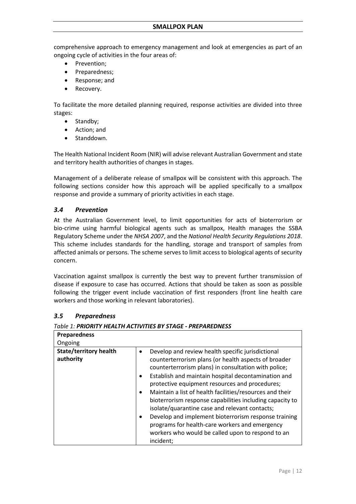comprehensive approach to emergency management and look at emergencies as part of an ongoing cycle of activities in the four areas of:

- Prevention:
- Preparedness;
- Response; and
- Recovery.

To facilitate the more detailed planning required, response activities are divided into three stages:

- Standby;
- Action; and
- Standdown.

The Health National Incident Room (NIR) will advise relevant Australian Government and state and territory health authorities of changes in stages.

Management of a deliberate release of smallpox will be consistent with this approach. The following sections consider how this approach will be applied specifically to a smallpox response and provide a summary of priority activities in each stage.

## <span id="page-11-0"></span>*3.4 Prevention*

At the Australian Government level, to limit opportunities for acts of bioterrorism or bio-crime using harmful biological agents such as smallpox, Health manages the SSBA Regulatory Scheme under the *NHSA 2007*, and the *National Health Security Regulations 2018*. This scheme includes standards for the handling, storage and transport of samples from affected animals or persons. The scheme serves to limit access to biological agents of security concern.

Vaccination against smallpox is currently the best way to prevent further transmission of disease if exposure to case has occurred. Actions that should be taken as soon as possible following the trigger event include vaccination of first responders (front line health care workers and those working in relevant laboratories).

## <span id="page-11-1"></span>*3.5 Preparedness*

#### *Table 1: PRIORITY HEALTH ACTIVITIES BY STAGE - PREPAREDNESS*

| <b>Preparedness</b>                        |                                                                                                                                                                                                                                                                                                                                                                                                                                                                                                                                                                                                                                                    |
|--------------------------------------------|----------------------------------------------------------------------------------------------------------------------------------------------------------------------------------------------------------------------------------------------------------------------------------------------------------------------------------------------------------------------------------------------------------------------------------------------------------------------------------------------------------------------------------------------------------------------------------------------------------------------------------------------------|
| Ongoing                                    |                                                                                                                                                                                                                                                                                                                                                                                                                                                                                                                                                                                                                                                    |
| <b>State/territory health</b><br>authority | Develop and review health specific jurisdictional<br>٠<br>counterterrorism plans (or health aspects of broader<br>counterterrorism plans) in consultation with police;<br>Establish and maintain hospital decontamination and<br>$\bullet$<br>protective equipment resources and procedures;<br>Maintain a list of health facilities/resources and their<br>bioterrorism response capabilities including capacity to<br>isolate/quarantine case and relevant contacts;<br>Develop and implement bioterrorism response training<br>programs for health-care workers and emergency<br>workers who would be called upon to respond to an<br>incident; |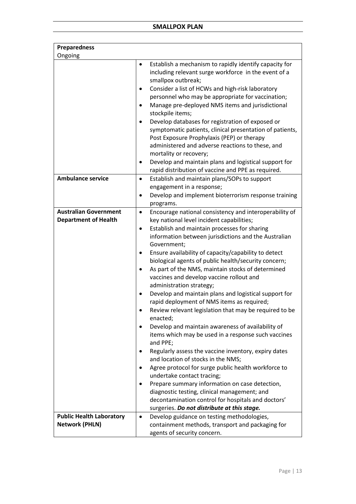| <b>Preparedness</b>             |                                                                                                                                                                                                                                                                                                                                                                                                                                                                                                                                                                                                                                                                                                                                                                                                                                                                                                                                                                                                                                                                                                                   |
|---------------------------------|-------------------------------------------------------------------------------------------------------------------------------------------------------------------------------------------------------------------------------------------------------------------------------------------------------------------------------------------------------------------------------------------------------------------------------------------------------------------------------------------------------------------------------------------------------------------------------------------------------------------------------------------------------------------------------------------------------------------------------------------------------------------------------------------------------------------------------------------------------------------------------------------------------------------------------------------------------------------------------------------------------------------------------------------------------------------------------------------------------------------|
| Ongoing                         |                                                                                                                                                                                                                                                                                                                                                                                                                                                                                                                                                                                                                                                                                                                                                                                                                                                                                                                                                                                                                                                                                                                   |
|                                 | Establish a mechanism to rapidly identify capacity for<br>٠<br>including relevant surge workforce in the event of a<br>smallpox outbreak;<br>Consider a list of HCWs and high-risk laboratory<br>personnel who may be appropriate for vaccination;<br>Manage pre-deployed NMS items and jurisdictional<br>stockpile items;<br>Develop databases for registration of exposed or<br>symptomatic patients, clinical presentation of patients,<br>Post Exposure Prophylaxis (PEP) or therapy<br>administered and adverse reactions to these, and<br>mortality or recovery;<br>Develop and maintain plans and logistical support for                                                                                                                                                                                                                                                                                                                                                                                                                                                                                   |
|                                 | rapid distribution of vaccine and PPE as required.                                                                                                                                                                                                                                                                                                                                                                                                                                                                                                                                                                                                                                                                                                                                                                                                                                                                                                                                                                                                                                                                |
| <b>Ambulance service</b>        | Establish and maintain plans/SOPs to support<br>$\bullet$<br>engagement in a response;<br>Develop and implement bioterrorism response training<br>programs.                                                                                                                                                                                                                                                                                                                                                                                                                                                                                                                                                                                                                                                                                                                                                                                                                                                                                                                                                       |
| <b>Australian Government</b>    | Encourage national consistency and interoperability of<br>$\bullet$                                                                                                                                                                                                                                                                                                                                                                                                                                                                                                                                                                                                                                                                                                                                                                                                                                                                                                                                                                                                                                               |
| <b>Department of Health</b>     | key national level incident capabilities;<br>Establish and maintain processes for sharing<br>٠<br>information between jurisdictions and the Australian<br>Government;<br>Ensure availability of capacity/capability to detect<br>biological agents of public health/security concern;<br>As part of the NMS, maintain stocks of determined<br>vaccines and develop vaccine rollout and<br>administration strategy;<br>Develop and maintain plans and logistical support for<br>rapid deployment of NMS items as required;<br>Review relevant legislation that may be required to be<br>enacted;<br>Develop and maintain awareness of availability of<br>items which may be used in a response such vaccines<br>and PPE;<br>Regularly assess the vaccine inventory, expiry dates<br>and location of stocks in the NMS;<br>Agree protocol for surge public health workforce to<br>undertake contact tracing;<br>Prepare summary information on case detection,<br>diagnostic testing, clinical management; and<br>decontamination control for hospitals and doctors'<br>surgeries. Do not distribute at this stage. |
| <b>Public Health Laboratory</b> | Develop guidance on testing methodologies,<br>$\bullet$                                                                                                                                                                                                                                                                                                                                                                                                                                                                                                                                                                                                                                                                                                                                                                                                                                                                                                                                                                                                                                                           |
| <b>Network (PHLN)</b>           | containment methods, transport and packaging for<br>agents of security concern.                                                                                                                                                                                                                                                                                                                                                                                                                                                                                                                                                                                                                                                                                                                                                                                                                                                                                                                                                                                                                                   |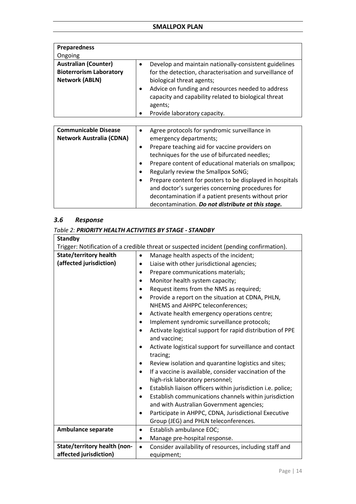| <b>Preparedness</b>                                                                    |                                                                                                                                                                                                                                                                                                                                      |
|----------------------------------------------------------------------------------------|--------------------------------------------------------------------------------------------------------------------------------------------------------------------------------------------------------------------------------------------------------------------------------------------------------------------------------------|
| Ongoing                                                                                |                                                                                                                                                                                                                                                                                                                                      |
| <b>Australian (Counter)</b><br><b>Bioterrorism Laboratory</b><br><b>Network (ABLN)</b> | Develop and maintain nationally-consistent guidelines<br>$\bullet$<br>for the detection, characterisation and surveillance of<br>biological threat agents;<br>Advice on funding and resources needed to address<br>$\bullet$<br>capacity and capability related to biological threat<br>agents;<br>Provide laboratory capacity.<br>٠ |
|                                                                                        |                                                                                                                                                                                                                                                                                                                                      |
| <b>Communicable Disease</b><br><b>Network Australia (CDNA)</b>                         | Agree protocols for syndromic surveillance in<br>$\bullet$<br>emergency departments;<br>Prenare teaching aid for vaccine providers on                                                                                                                                                                                                |

| $\epsilon$                                                    |
|---------------------------------------------------------------|
| Prepare teaching aid for vaccine providers on<br>$\bullet$    |
| techniques for the use of bifurcated needles;                 |
| Prepare content of educational materials on smallpox;         |
| Regularly review the Smallpox SoNG;<br>$\bullet$              |
| Prepare content for posters to be displayed in hospitals<br>٠ |
| and doctor's surgeries concerning procedures for              |
| decontamination if a patient presents without prior           |
| decontamination. Do not distribute at this stage.             |

## <span id="page-13-0"></span>*3.6 Response*

## *Table 2: PRIORITY HEALTH ACTIVITIES BY STAGE - STANDBY*

| <b>Standby</b>                |                                                                                          |
|-------------------------------|------------------------------------------------------------------------------------------|
|                               | Trigger: Notification of a credible threat or suspected incident (pending confirmation). |
| <b>State/territory health</b> | Manage health aspects of the incident;                                                   |
| (affected jurisdiction)       | Liaise with other jurisdictional agencies;<br>٠                                          |
|                               | Prepare communications materials;<br>$\bullet$                                           |
|                               | Monitor health system capacity;<br>$\bullet$                                             |
|                               | Request items from the NMS as required;                                                  |
|                               | Provide a report on the situation at CDNA, PHLN,                                         |
|                               | NHEMS and AHPPC teleconferences;                                                         |
|                               | Activate health emergency operations centre;<br>٠                                        |
|                               | Implement syndromic surveillance protocols;<br>٠                                         |
|                               | Activate logistical support for rapid distribution of PPE                                |
|                               | and vaccine;                                                                             |
|                               | Activate logistical support for surveillance and contact<br>$\bullet$                    |
|                               | tracing;                                                                                 |
|                               | Review isolation and quarantine logistics and sites;                                     |
|                               | If a vaccine is available, consider vaccination of the                                   |
|                               | high-risk laboratory personnel;                                                          |
|                               | Establish liaison officers within jurisdiction i.e. police;                              |
|                               | Establish communications channels within jurisdiction                                    |
|                               | and with Australian Government agencies;                                                 |
|                               | Participate in AHPPC, CDNA, Jurisdictional Executive<br>$\bullet$                        |
|                               | Group (JEG) and PHLN teleconferences.                                                    |
| <b>Ambulance separate</b>     | Establish ambulance EOC;<br>٠                                                            |
|                               | Manage pre-hospital response.<br>٠                                                       |
| State/territory health (non-  | Consider availability of resources, including staff and<br>$\bullet$                     |
| affected jurisdiction)        | equipment;                                                                               |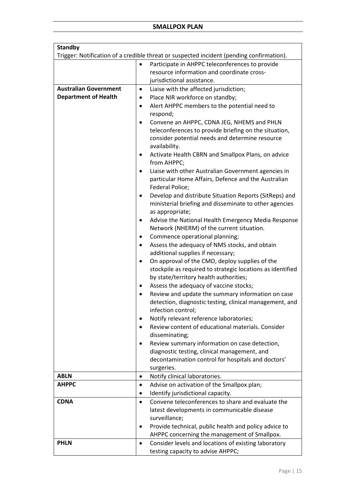| <b>Standby</b>               |                                                                                                  |
|------------------------------|--------------------------------------------------------------------------------------------------|
|                              | Trigger: Notification of a credible threat or suspected incident (pending confirmation).         |
|                              | Participate in AHPPC teleconferences to provide                                                  |
|                              | resource information and coordinate cross-                                                       |
|                              | jurisdictional assistance.                                                                       |
| <b>Australian Government</b> | Liaise with the affected jurisdiction;<br>٠                                                      |
| <b>Department of Health</b>  | Place NIR workforce on standby;<br>٠                                                             |
|                              | Alert AHPPC members to the potential need to<br>$\bullet$                                        |
|                              | respond;                                                                                         |
|                              | Convene an AHPPC, CDNA JEG, NHEMS and PHLN<br>٠                                                  |
|                              | teleconferences to provide briefing on the situation,                                            |
|                              | consider potential needs and determine resource                                                  |
|                              | availability.                                                                                    |
|                              | Activate Health CBRN and Smallpox Plans, on advice<br>from AHPPC;                                |
|                              | Liaise with other Australian Government agencies in                                              |
|                              | particular Home Affairs, Defence and the Australian                                              |
|                              | Federal Police;                                                                                  |
|                              | Develop and distribute Situation Reports (SitReps) and                                           |
|                              | ministerial briefing and disseminate to other agencies                                           |
|                              | as appropriate;                                                                                  |
|                              | Advise the National Health Emergency Media Response<br>Network (NHERM) of the current situation. |
|                              | Commence operational planning;                                                                   |
|                              | Assess the adequacy of NMS stocks, and obtain<br>$\bullet$                                       |
|                              | additional supplies if necessary;                                                                |
|                              | On approval of the CMO, deploy supplies of the<br>٠                                              |
|                              | stockpile as required to strategic locations as identified                                       |
|                              | by state/territory health authorities;                                                           |
|                              | Assess the adequacy of vaccine stocks;                                                           |
|                              | Review and update the summary information on case                                                |
|                              | detection, diagnostic testing, clinical management, and                                          |
|                              | infection control;                                                                               |
|                              | Notify relevant reference laboratories;<br>$\bullet$                                             |
|                              | Review content of educational materials. Consider                                                |
|                              | disseminating;                                                                                   |
|                              | Review summary information on case detection,                                                    |
|                              | diagnostic testing, clinical management, and                                                     |
|                              | decontamination control for hospitals and doctors'                                               |
| <b>ABLN</b>                  | surgeries.                                                                                       |
|                              | Notify clinical laboratories.<br>$\bullet$                                                       |
| <b>AHPPC</b>                 | Advise on activation of the Smallpox plan;<br>$\bullet$                                          |
| <b>CDNA</b>                  | Identify jurisdictional capacity.<br>٠<br>Convene teleconferences to share and evaluate the      |
|                              | $\bullet$                                                                                        |
|                              | latest developments in communicable disease<br>surveillance;                                     |
|                              | Provide technical, public health and policy advice to                                            |
|                              | AHPPC concerning the management of Smallpox.                                                     |
| <b>PHLN</b>                  | Consider levels and locations of existing laboratory                                             |
|                              | testing capacity to advise AHPPC;                                                                |
|                              |                                                                                                  |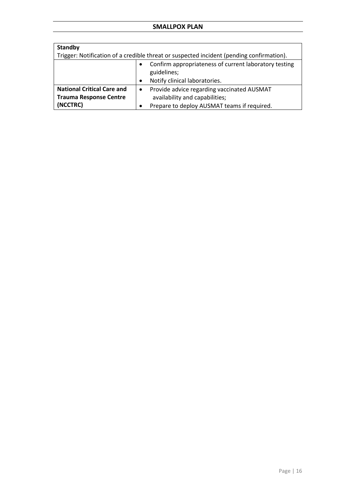## **SMALLPOX PLAN**

| <b>Standby</b>                                                                           |                                                                      |  |
|------------------------------------------------------------------------------------------|----------------------------------------------------------------------|--|
| Trigger: Notification of a credible threat or suspected incident (pending confirmation). |                                                                      |  |
|                                                                                          | Confirm appropriateness of current laboratory testing<br>guidelines; |  |
|                                                                                          | Notify clinical laboratories.                                        |  |
| <b>National Critical Care and</b>                                                        | Provide advice regarding vaccinated AUSMAT<br>$\bullet$              |  |
| <b>Trauma Response Centre</b>                                                            | availability and capabilities;                                       |  |
| (NCCTRC)                                                                                 | Prepare to deploy AUSMAT teams if required.                          |  |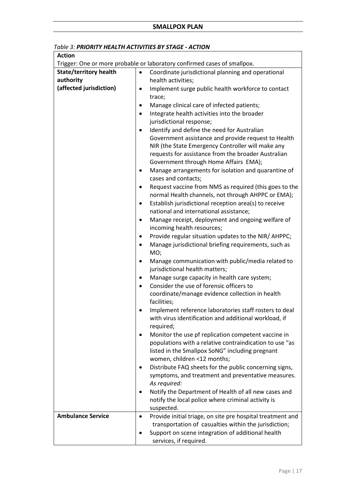| Trigger: One or more probable or laboratory confirmed cases of smallpox.<br><b>State/territory health</b><br>Coordinate jurisdictional planning and operational<br>$\bullet$<br>authority<br>health activities;<br>(affected jurisdiction)<br>Implement surge public health workforce to contact<br>$\bullet$<br>trace;<br>Manage clinical care of infected patients;<br>٠<br>Integrate health activities into the broader<br>$\bullet$<br>jurisdictional response;<br>Identify and define the need for Australian<br>Government assistance and provide request to Health<br>NIR (the State Emergency Controller will make any<br>requests for assistance from the broader Australian<br>Government through Home Affairs EMA);<br>Manage arrangements for isolation and quarantine of<br>٠<br>cases and contacts;<br>Request vaccine from NMS as required (this goes to the<br>$\bullet$<br>normal Health channels, not through AHPPC or EMA);<br>Establish jurisdictional reception area(s) to receive<br>$\bullet$<br>national and international assistance;<br>Manage receipt, deployment and ongoing welfare of<br>٠<br>incoming health resources;<br>Provide regular situation updates to the NIR/ AHPPC;<br>$\bullet$<br>Manage jurisdictional briefing requirements, such as<br>$\bullet$<br>MO;<br>Manage communication with public/media related to<br>٠<br>jurisdictional health matters;<br>Manage surge capacity in health care system;<br>٠<br>Consider the use of forensic officers to<br>$\bullet$<br>coordinate/manage evidence collection in health<br>facilities;<br>Implement reference laboratories staff rosters to deal<br>with virus identification and additional workload, if<br>required;<br>Monitor the use pf replication competent vaccine in<br>populations with a relative contraindication to use "as |
|---------------------------------------------------------------------------------------------------------------------------------------------------------------------------------------------------------------------------------------------------------------------------------------------------------------------------------------------------------------------------------------------------------------------------------------------------------------------------------------------------------------------------------------------------------------------------------------------------------------------------------------------------------------------------------------------------------------------------------------------------------------------------------------------------------------------------------------------------------------------------------------------------------------------------------------------------------------------------------------------------------------------------------------------------------------------------------------------------------------------------------------------------------------------------------------------------------------------------------------------------------------------------------------------------------------------------------------------------------------------------------------------------------------------------------------------------------------------------------------------------------------------------------------------------------------------------------------------------------------------------------------------------------------------------------------------------------------------------------------------------------------------------------------------------------------------------------------|
|                                                                                                                                                                                                                                                                                                                                                                                                                                                                                                                                                                                                                                                                                                                                                                                                                                                                                                                                                                                                                                                                                                                                                                                                                                                                                                                                                                                                                                                                                                                                                                                                                                                                                                                                                                                                                                       |
|                                                                                                                                                                                                                                                                                                                                                                                                                                                                                                                                                                                                                                                                                                                                                                                                                                                                                                                                                                                                                                                                                                                                                                                                                                                                                                                                                                                                                                                                                                                                                                                                                                                                                                                                                                                                                                       |
|                                                                                                                                                                                                                                                                                                                                                                                                                                                                                                                                                                                                                                                                                                                                                                                                                                                                                                                                                                                                                                                                                                                                                                                                                                                                                                                                                                                                                                                                                                                                                                                                                                                                                                                                                                                                                                       |
|                                                                                                                                                                                                                                                                                                                                                                                                                                                                                                                                                                                                                                                                                                                                                                                                                                                                                                                                                                                                                                                                                                                                                                                                                                                                                                                                                                                                                                                                                                                                                                                                                                                                                                                                                                                                                                       |
|                                                                                                                                                                                                                                                                                                                                                                                                                                                                                                                                                                                                                                                                                                                                                                                                                                                                                                                                                                                                                                                                                                                                                                                                                                                                                                                                                                                                                                                                                                                                                                                                                                                                                                                                                                                                                                       |
|                                                                                                                                                                                                                                                                                                                                                                                                                                                                                                                                                                                                                                                                                                                                                                                                                                                                                                                                                                                                                                                                                                                                                                                                                                                                                                                                                                                                                                                                                                                                                                                                                                                                                                                                                                                                                                       |
|                                                                                                                                                                                                                                                                                                                                                                                                                                                                                                                                                                                                                                                                                                                                                                                                                                                                                                                                                                                                                                                                                                                                                                                                                                                                                                                                                                                                                                                                                                                                                                                                                                                                                                                                                                                                                                       |
|                                                                                                                                                                                                                                                                                                                                                                                                                                                                                                                                                                                                                                                                                                                                                                                                                                                                                                                                                                                                                                                                                                                                                                                                                                                                                                                                                                                                                                                                                                                                                                                                                                                                                                                                                                                                                                       |
|                                                                                                                                                                                                                                                                                                                                                                                                                                                                                                                                                                                                                                                                                                                                                                                                                                                                                                                                                                                                                                                                                                                                                                                                                                                                                                                                                                                                                                                                                                                                                                                                                                                                                                                                                                                                                                       |
|                                                                                                                                                                                                                                                                                                                                                                                                                                                                                                                                                                                                                                                                                                                                                                                                                                                                                                                                                                                                                                                                                                                                                                                                                                                                                                                                                                                                                                                                                                                                                                                                                                                                                                                                                                                                                                       |
|                                                                                                                                                                                                                                                                                                                                                                                                                                                                                                                                                                                                                                                                                                                                                                                                                                                                                                                                                                                                                                                                                                                                                                                                                                                                                                                                                                                                                                                                                                                                                                                                                                                                                                                                                                                                                                       |
|                                                                                                                                                                                                                                                                                                                                                                                                                                                                                                                                                                                                                                                                                                                                                                                                                                                                                                                                                                                                                                                                                                                                                                                                                                                                                                                                                                                                                                                                                                                                                                                                                                                                                                                                                                                                                                       |
|                                                                                                                                                                                                                                                                                                                                                                                                                                                                                                                                                                                                                                                                                                                                                                                                                                                                                                                                                                                                                                                                                                                                                                                                                                                                                                                                                                                                                                                                                                                                                                                                                                                                                                                                                                                                                                       |
|                                                                                                                                                                                                                                                                                                                                                                                                                                                                                                                                                                                                                                                                                                                                                                                                                                                                                                                                                                                                                                                                                                                                                                                                                                                                                                                                                                                                                                                                                                                                                                                                                                                                                                                                                                                                                                       |
|                                                                                                                                                                                                                                                                                                                                                                                                                                                                                                                                                                                                                                                                                                                                                                                                                                                                                                                                                                                                                                                                                                                                                                                                                                                                                                                                                                                                                                                                                                                                                                                                                                                                                                                                                                                                                                       |
|                                                                                                                                                                                                                                                                                                                                                                                                                                                                                                                                                                                                                                                                                                                                                                                                                                                                                                                                                                                                                                                                                                                                                                                                                                                                                                                                                                                                                                                                                                                                                                                                                                                                                                                                                                                                                                       |
|                                                                                                                                                                                                                                                                                                                                                                                                                                                                                                                                                                                                                                                                                                                                                                                                                                                                                                                                                                                                                                                                                                                                                                                                                                                                                                                                                                                                                                                                                                                                                                                                                                                                                                                                                                                                                                       |
|                                                                                                                                                                                                                                                                                                                                                                                                                                                                                                                                                                                                                                                                                                                                                                                                                                                                                                                                                                                                                                                                                                                                                                                                                                                                                                                                                                                                                                                                                                                                                                                                                                                                                                                                                                                                                                       |
|                                                                                                                                                                                                                                                                                                                                                                                                                                                                                                                                                                                                                                                                                                                                                                                                                                                                                                                                                                                                                                                                                                                                                                                                                                                                                                                                                                                                                                                                                                                                                                                                                                                                                                                                                                                                                                       |
|                                                                                                                                                                                                                                                                                                                                                                                                                                                                                                                                                                                                                                                                                                                                                                                                                                                                                                                                                                                                                                                                                                                                                                                                                                                                                                                                                                                                                                                                                                                                                                                                                                                                                                                                                                                                                                       |
|                                                                                                                                                                                                                                                                                                                                                                                                                                                                                                                                                                                                                                                                                                                                                                                                                                                                                                                                                                                                                                                                                                                                                                                                                                                                                                                                                                                                                                                                                                                                                                                                                                                                                                                                                                                                                                       |
|                                                                                                                                                                                                                                                                                                                                                                                                                                                                                                                                                                                                                                                                                                                                                                                                                                                                                                                                                                                                                                                                                                                                                                                                                                                                                                                                                                                                                                                                                                                                                                                                                                                                                                                                                                                                                                       |
|                                                                                                                                                                                                                                                                                                                                                                                                                                                                                                                                                                                                                                                                                                                                                                                                                                                                                                                                                                                                                                                                                                                                                                                                                                                                                                                                                                                                                                                                                                                                                                                                                                                                                                                                                                                                                                       |
|                                                                                                                                                                                                                                                                                                                                                                                                                                                                                                                                                                                                                                                                                                                                                                                                                                                                                                                                                                                                                                                                                                                                                                                                                                                                                                                                                                                                                                                                                                                                                                                                                                                                                                                                                                                                                                       |
|                                                                                                                                                                                                                                                                                                                                                                                                                                                                                                                                                                                                                                                                                                                                                                                                                                                                                                                                                                                                                                                                                                                                                                                                                                                                                                                                                                                                                                                                                                                                                                                                                                                                                                                                                                                                                                       |
|                                                                                                                                                                                                                                                                                                                                                                                                                                                                                                                                                                                                                                                                                                                                                                                                                                                                                                                                                                                                                                                                                                                                                                                                                                                                                                                                                                                                                                                                                                                                                                                                                                                                                                                                                                                                                                       |
|                                                                                                                                                                                                                                                                                                                                                                                                                                                                                                                                                                                                                                                                                                                                                                                                                                                                                                                                                                                                                                                                                                                                                                                                                                                                                                                                                                                                                                                                                                                                                                                                                                                                                                                                                                                                                                       |
|                                                                                                                                                                                                                                                                                                                                                                                                                                                                                                                                                                                                                                                                                                                                                                                                                                                                                                                                                                                                                                                                                                                                                                                                                                                                                                                                                                                                                                                                                                                                                                                                                                                                                                                                                                                                                                       |
|                                                                                                                                                                                                                                                                                                                                                                                                                                                                                                                                                                                                                                                                                                                                                                                                                                                                                                                                                                                                                                                                                                                                                                                                                                                                                                                                                                                                                                                                                                                                                                                                                                                                                                                                                                                                                                       |
|                                                                                                                                                                                                                                                                                                                                                                                                                                                                                                                                                                                                                                                                                                                                                                                                                                                                                                                                                                                                                                                                                                                                                                                                                                                                                                                                                                                                                                                                                                                                                                                                                                                                                                                                                                                                                                       |
|                                                                                                                                                                                                                                                                                                                                                                                                                                                                                                                                                                                                                                                                                                                                                                                                                                                                                                                                                                                                                                                                                                                                                                                                                                                                                                                                                                                                                                                                                                                                                                                                                                                                                                                                                                                                                                       |
|                                                                                                                                                                                                                                                                                                                                                                                                                                                                                                                                                                                                                                                                                                                                                                                                                                                                                                                                                                                                                                                                                                                                                                                                                                                                                                                                                                                                                                                                                                                                                                                                                                                                                                                                                                                                                                       |
|                                                                                                                                                                                                                                                                                                                                                                                                                                                                                                                                                                                                                                                                                                                                                                                                                                                                                                                                                                                                                                                                                                                                                                                                                                                                                                                                                                                                                                                                                                                                                                                                                                                                                                                                                                                                                                       |
| listed in the Smallpox SoNG" including pregnant                                                                                                                                                                                                                                                                                                                                                                                                                                                                                                                                                                                                                                                                                                                                                                                                                                                                                                                                                                                                                                                                                                                                                                                                                                                                                                                                                                                                                                                                                                                                                                                                                                                                                                                                                                                       |
| women, children <12 months;                                                                                                                                                                                                                                                                                                                                                                                                                                                                                                                                                                                                                                                                                                                                                                                                                                                                                                                                                                                                                                                                                                                                                                                                                                                                                                                                                                                                                                                                                                                                                                                                                                                                                                                                                                                                           |
| Distribute FAQ sheets for the public concerning signs,                                                                                                                                                                                                                                                                                                                                                                                                                                                                                                                                                                                                                                                                                                                                                                                                                                                                                                                                                                                                                                                                                                                                                                                                                                                                                                                                                                                                                                                                                                                                                                                                                                                                                                                                                                                |
| symptoms, and treatment and preventative measures.<br>As required:                                                                                                                                                                                                                                                                                                                                                                                                                                                                                                                                                                                                                                                                                                                                                                                                                                                                                                                                                                                                                                                                                                                                                                                                                                                                                                                                                                                                                                                                                                                                                                                                                                                                                                                                                                    |
| Notify the Department of Health of all new cases and                                                                                                                                                                                                                                                                                                                                                                                                                                                                                                                                                                                                                                                                                                                                                                                                                                                                                                                                                                                                                                                                                                                                                                                                                                                                                                                                                                                                                                                                                                                                                                                                                                                                                                                                                                                  |
| notify the local police where criminal activity is                                                                                                                                                                                                                                                                                                                                                                                                                                                                                                                                                                                                                                                                                                                                                                                                                                                                                                                                                                                                                                                                                                                                                                                                                                                                                                                                                                                                                                                                                                                                                                                                                                                                                                                                                                                    |
| suspected.                                                                                                                                                                                                                                                                                                                                                                                                                                                                                                                                                                                                                                                                                                                                                                                                                                                                                                                                                                                                                                                                                                                                                                                                                                                                                                                                                                                                                                                                                                                                                                                                                                                                                                                                                                                                                            |
| <b>Ambulance Service</b><br>Provide initial triage, on site pre hospital treatment and<br>$\bullet$                                                                                                                                                                                                                                                                                                                                                                                                                                                                                                                                                                                                                                                                                                                                                                                                                                                                                                                                                                                                                                                                                                                                                                                                                                                                                                                                                                                                                                                                                                                                                                                                                                                                                                                                   |
| transportation of casualties within the jurisdiction;                                                                                                                                                                                                                                                                                                                                                                                                                                                                                                                                                                                                                                                                                                                                                                                                                                                                                                                                                                                                                                                                                                                                                                                                                                                                                                                                                                                                                                                                                                                                                                                                                                                                                                                                                                                 |
| Support on scene integration of additional health                                                                                                                                                                                                                                                                                                                                                                                                                                                                                                                                                                                                                                                                                                                                                                                                                                                                                                                                                                                                                                                                                                                                                                                                                                                                                                                                                                                                                                                                                                                                                                                                                                                                                                                                                                                     |
| services, if required.                                                                                                                                                                                                                                                                                                                                                                                                                                                                                                                                                                                                                                                                                                                                                                                                                                                                                                                                                                                                                                                                                                                                                                                                                                                                                                                                                                                                                                                                                                                                                                                                                                                                                                                                                                                                                |

*Table 3: PRIORITY HEALTH ACTIVITIES BY STAGE - ACTION*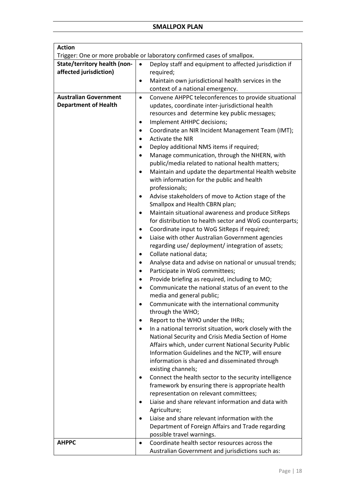| <b>Action</b>                |                                                                                                    |  |  |
|------------------------------|----------------------------------------------------------------------------------------------------|--|--|
|                              | Trigger: One or more probable or laboratory confirmed cases of smallpox.                           |  |  |
| State/territory health (non- | $\bullet$<br>Deploy staff and equipment to affected jurisdiction if                                |  |  |
| affected jurisdiction)       | required;                                                                                          |  |  |
|                              | Maintain own jurisdictional health services in the                                                 |  |  |
|                              | context of a national emergency.                                                                   |  |  |
| <b>Australian Government</b> | Convene AHPPC teleconferences to provide situational<br>$\bullet$                                  |  |  |
| <b>Department of Health</b>  | updates, coordinate inter-jurisdictional health                                                    |  |  |
|                              | resources and determine key public messages;                                                       |  |  |
|                              | Implement AHHPC decisions;<br>٠                                                                    |  |  |
|                              | Coordinate an NIR Incident Management Team (IMT);<br>٠                                             |  |  |
|                              | <b>Activate the NIR</b><br>$\bullet$                                                               |  |  |
|                              | Deploy additional NMS items if required;<br>٠                                                      |  |  |
|                              | Manage communication, through the NHERN, with<br>$\bullet$                                         |  |  |
|                              | public/media related to national health matters;                                                   |  |  |
|                              | Maintain and update the departmental Health website<br>$\bullet$                                   |  |  |
|                              | with information for the public and health                                                         |  |  |
|                              | professionals;                                                                                     |  |  |
|                              | Advise stakeholders of move to Action stage of the                                                 |  |  |
|                              | Smallpox and Health CBRN plan;                                                                     |  |  |
|                              | Maintain situational awareness and produce SitReps<br>$\bullet$                                    |  |  |
|                              | for distribution to health sector and WoG counterparts;                                            |  |  |
|                              | Coordinate input to WoG SitReps if required;<br>$\bullet$                                          |  |  |
|                              | Liaise with other Australian Government agencies<br>$\bullet$                                      |  |  |
|                              | regarding use/ deployment/ integration of assets;                                                  |  |  |
|                              | Collate national data;<br>٠                                                                        |  |  |
|                              | Analyse data and advise on national or unusual trends;<br>$\bullet$                                |  |  |
|                              | Participate in WoG committees;                                                                     |  |  |
|                              | Provide briefing as required, including to MO;                                                     |  |  |
|                              | Communicate the national status of an event to the<br>$\bullet$                                    |  |  |
|                              | media and general public;                                                                          |  |  |
|                              | Communicate with the international community                                                       |  |  |
|                              | through the WHO;                                                                                   |  |  |
|                              | Report to the WHO under the IHRs;                                                                  |  |  |
|                              | In a national terrorist situation, work closely with the                                           |  |  |
|                              | National Security and Crisis Media Section of Home                                                 |  |  |
|                              | Affairs which, under current National Security Public                                              |  |  |
|                              | Information Guidelines and the NCTP, will ensure<br>information is shared and disseminated through |  |  |
|                              | existing channels;                                                                                 |  |  |
|                              | Connect the health sector to the security intelligence                                             |  |  |
|                              | framework by ensuring there is appropriate health                                                  |  |  |
|                              | representation on relevant committees;                                                             |  |  |
|                              | Liaise and share relevant information and data with                                                |  |  |
|                              | Agriculture;                                                                                       |  |  |
|                              | Liaise and share relevant information with the                                                     |  |  |
|                              | Department of Foreign Affairs and Trade regarding                                                  |  |  |
|                              | possible travel warnings.                                                                          |  |  |
| <b>AHPPC</b>                 | Coordinate health sector resources across the<br>$\bullet$                                         |  |  |
|                              | Australian Government and jurisdictions such as:                                                   |  |  |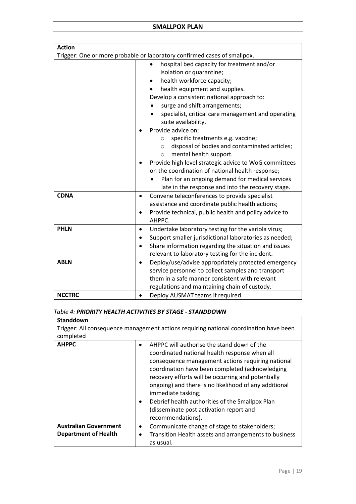## **SMALLPOX PLAN**

| <b>Action</b> |                                                                           |
|---------------|---------------------------------------------------------------------------|
|               | Trigger: One or more probable or laboratory confirmed cases of smallpox.  |
|               | hospital bed capacity for treatment and/or                                |
|               | isolation or quarantine;                                                  |
|               | health workforce capacity;<br>٠                                           |
|               | health equipment and supplies.                                            |
|               | Develop a consistent national approach to:                                |
|               | surge and shift arrangements;                                             |
|               | specialist, critical care management and operating<br>suite availability. |
|               | Provide advice on:                                                        |
|               | specific treatments e.g. vaccine;<br>$\circ$                              |
|               | disposal of bodies and contaminated articles;<br>$\circ$                  |
|               | mental health support.<br>$\circ$                                         |
|               | Provide high level strategic advice to WoG committees                     |
|               | on the coordination of national health response;                          |
|               | Plan for an ongoing demand for medical services                           |
|               | late in the response and into the recovery stage.                         |
| <b>CDNA</b>   | Convene teleconferences to provide specialist<br>$\bullet$                |
|               | assistance and coordinate public health actions;                          |
|               | Provide technical, public health and policy advice to<br>$\bullet$        |
|               | AHPPC.                                                                    |
| <b>PHLN</b>   | Undertake laboratory testing for the variola virus;<br>$\bullet$          |
|               | Support smaller jurisdictional laboratories as needed;                    |
|               | Share information regarding the situation and issues                      |
|               | relevant to laboratory testing for the incident.                          |
| <b>ABLN</b>   | Deploy/use/advise appropriately protected emergency<br>$\bullet$          |
|               | service personnel to collect samples and transport                        |
|               | them in a safe manner consistent with relevant                            |
|               | regulations and maintaining chain of custody.                             |
| <b>NCCTRC</b> | Deploy AUSMAT teams if required.                                          |

## *Table 4: PRIORITY HEALTH ACTIVITIES BY STAGE - STANDDOWN*

| <b>Standdown</b><br>Trigger: All consequence management actions requiring national coordination have been |                                                                                                                                                                                                                                                                                                                                                                                                                                                             |  |
|-----------------------------------------------------------------------------------------------------------|-------------------------------------------------------------------------------------------------------------------------------------------------------------------------------------------------------------------------------------------------------------------------------------------------------------------------------------------------------------------------------------------------------------------------------------------------------------|--|
| completed                                                                                                 |                                                                                                                                                                                                                                                                                                                                                                                                                                                             |  |
| <b>AHPPC</b>                                                                                              | AHPPC will authorise the stand down of the<br>coordinated national health response when all<br>consequence management actions requiring national<br>coordination have been completed (acknowledging<br>recovery efforts will be occurring and potentially<br>ongoing) and there is no likelihood of any additional<br>immediate tasking;<br>Debrief health authorities of the Smallpox Plan<br>(disseminate post activation report and<br>recommendations). |  |
| <b>Australian Government</b>                                                                              | Communicate change of stage to stakeholders;<br>$\bullet$                                                                                                                                                                                                                                                                                                                                                                                                   |  |
| <b>Department of Health</b>                                                                               | Transition Health assets and arrangements to business<br>as usual.                                                                                                                                                                                                                                                                                                                                                                                          |  |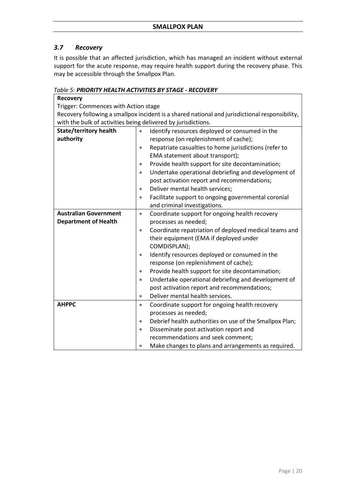## <span id="page-19-0"></span>*3.7 Recovery*

It is possible that an affected jurisdiction, which has managed an incident without external support for the acute response, may require health support during the recovery phase. This may be accessible through the Smallpox Plan.

## *Table 5: PRIORITY HEALTH ACTIVITIES BY STAGE - RECOVERY*

| <u>UDIE J. FNIUNITI HLALIH ACHVIHLJ DI JIAUL - NLCUVLNI</u>                                    |                                                                  |  |
|------------------------------------------------------------------------------------------------|------------------------------------------------------------------|--|
| <b>Recovery</b>                                                                                |                                                                  |  |
| Trigger: Commences with Action stage                                                           |                                                                  |  |
| Recovery following a smallpox incident is a shared national and jurisdictional responsibility, |                                                                  |  |
| with the bulk of activities being delivered by jurisdictions.                                  |                                                                  |  |
| <b>State/territory health</b>                                                                  | Identify resources deployed or consumed in the<br>$\bullet$      |  |
| authority                                                                                      | response (on replenishment of cache);                            |  |
|                                                                                                | Repatriate casualties to home jurisdictions (refer to<br>۰       |  |
|                                                                                                | EMA statement about transport);                                  |  |
|                                                                                                | Provide health support for site decontamination;<br>۰            |  |
|                                                                                                | Undertake operational debriefing and development of<br>$\bullet$ |  |
|                                                                                                | post activation report and recommendations;                      |  |
|                                                                                                | Deliver mental health services;<br>$\bullet$                     |  |
|                                                                                                | Facilitate support to ongoing governmental coronial<br>۰         |  |
|                                                                                                | and criminal investigations.                                     |  |
| <b>Australian Government</b>                                                                   | Coordinate support for ongoing health recovery<br>$\bullet$      |  |
| <b>Department of Health</b>                                                                    | processes as needed;                                             |  |
|                                                                                                | Coordinate repatriation of deployed medical teams and<br>۰       |  |
|                                                                                                | their equipment (EMA if deployed under                           |  |
|                                                                                                | COMDISPLAN);                                                     |  |
|                                                                                                | Identify resources deployed or consumed in the<br>$\bullet$      |  |
|                                                                                                | response (on replenishment of cache);                            |  |
|                                                                                                | Provide health support for site decontamination;<br>۰            |  |
|                                                                                                | Undertake operational debriefing and development of<br>۰         |  |
|                                                                                                | post activation report and recommendations;                      |  |
|                                                                                                | Deliver mental health services.<br>$\bullet$                     |  |
| <b>AHPPC</b>                                                                                   | Coordinate support for ongoing health recovery<br>۰              |  |
|                                                                                                | processes as needed;                                             |  |
|                                                                                                | Debrief health authorities on use of the Smallpox Plan;<br>۰     |  |
|                                                                                                | Disseminate post activation report and<br>$\bullet$              |  |
|                                                                                                | recommendations and seek comment;                                |  |
|                                                                                                | Make changes to plans and arrangements as required.              |  |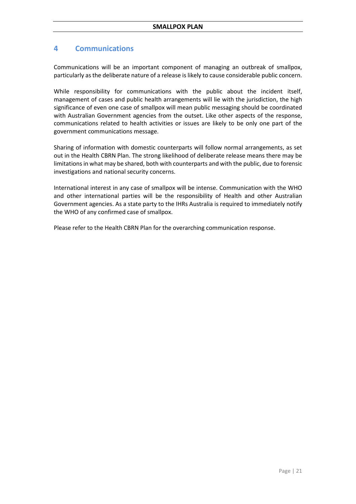## <span id="page-20-0"></span>**4 Communications**

Communications will be an important component of managing an outbreak of smallpox, particularly as the deliberate nature of a release is likely to cause considerable public concern.

While responsibility for communications with the public about the incident itself, management of cases and public health arrangements will lie with the jurisdiction, the high significance of even one case of smallpox will mean public messaging should be coordinated with Australian Government agencies from the outset. Like other aspects of the response, communications related to health activities or issues are likely to be only one part of the government communications message.

Sharing of information with domestic counterparts will follow normal arrangements, as set out in the Health CBRN Plan. The strong likelihood of deliberate release means there may be limitations in what may be shared, both with counterparts and with the public, due to forensic investigations and national security concerns.

International interest in any case of smallpox will be intense. Communication with the WHO and other international parties will be the responsibility of Health and other Australian Government agencies. As a state party to the IHRs Australia is required to immediately notify the WHO of any confirmed case of smallpox.

Please refer to the Health CBRN Plan for the overarching communication response.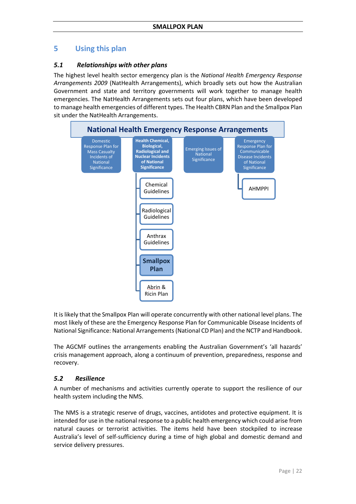## <span id="page-21-0"></span>**5 Using this plan**

## <span id="page-21-1"></span>*5.1 Relationships with other plans*

The highest level health sector emergency plan is the *National Health Emergency Response Arrangements 2009* (NatHealth Arrangements), which broadly sets out how the Australian Government and state and territory governments will work together to manage health emergencies. The NatHealth Arrangements sets out four plans, which have been developed to manage health emergencies of different types. The Health CBRN Plan and the Smallpox Plan sit under the NatHealth Arrangements.



It is likely that the Smallpox Plan will operate concurrently with other national level plans. The most likely of these are the Emergency Response Plan for Communicable Disease Incidents of National Significance: National Arrangements (National CD Plan) and the NCTP and Handbook.

The AGCMF outlines the arrangements enabling the Australian Government's 'all hazards' crisis management approach, along a continuum of prevention, preparedness, response and recovery.

## <span id="page-21-2"></span>*5.2 Resilience*

A number of mechanisms and activities currently operate to support the resilience of our health system including the NMS.

The NMS is a strategic reserve of drugs, vaccines, antidotes and protective equipment. It is intended for use in the national response to a public health emergency which could arise from natural causes or terrorist activities. The items held have been stockpiled to increase Australia's level of self-sufficiency during a time of high global and domestic demand and service delivery pressures.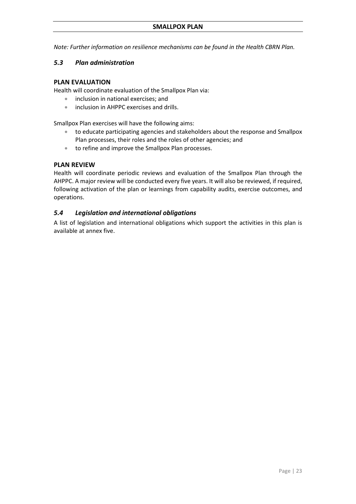*Note: Further information on resilience mechanisms can be found in the Health CBRN Plan.* 

## <span id="page-22-0"></span>*5.3 Plan administration*

## **PLAN EVALUATION**

Health will coordinate evaluation of the Smallpox Plan via:

- inclusion in national exercises; and
- inclusion in AHPPC exercises and drills.

Smallpox Plan exercises will have the following aims:

- to educate participating agencies and stakeholders about the response and Smallpox Plan processes, their roles and the roles of other agencies; and
- to refine and improve the Smallpox Plan processes.

## **PLAN REVIEW**

Health will coordinate periodic reviews and evaluation of the Smallpox Plan through the AHPPC. A major review will be conducted every five years. It will also be reviewed, if required, following activation of the plan or learnings from capability audits, exercise outcomes, and operations.

## <span id="page-22-1"></span>*5.4 Legislation and international obligations*

A list of legislation and international obligations which support the activities in this plan is available at annex five.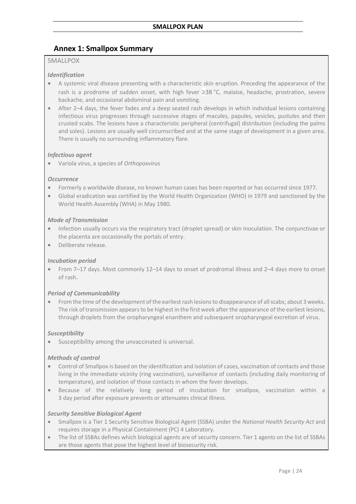## <span id="page-23-0"></span>**Annex 1: Smallpox Summary**

## SMALLPOX

#### *Identification*

- A systemic viral disease presenting with a characteristic skin eruption. Preceding the appearance of the rash is a prodrome of sudden onset, with high fever ≥38 °C, malaise, headache, prostration, severe backache, and occasional abdominal pain and vomiting.
- After 2–4 days, the fever fades and a deep seated rash develops in which individual lesions containing infectious virus progresses through successive stages of macules, papules, vesicles, pustules and then crusted scabs. The lesions have a characteristic peripheral (centrifugal) distribution (including the palms and soles). Lesions are usually well circumscribed and at the same stage of development in a given area. There is usually no surrounding inflammatory flare.

## *Infectious agent*

• Variola virus, a species of *Orthopoxvirus*

#### *Occurrence*

- Formerly a worldwide disease, no known human cases has been reported or has occurred since 1977.
- Global eradication was certified by the World Health Organization (WHO) in 1979 and sanctioned by the World Health Assembly (WHA) in May 1980.

## *Mode of Transmission*

- Infection usually occurs via the respiratory tract (droplet spread) or skin inoculation. The conjunctivae or the placenta are occasionally the portals of entry.
- Deliberate release.

## *Incubation period*

• From 7–17 days. Most commonly 12–14 days to onset of prodromal illness and 2–4 days more to onset of rash.

## *Period of Communicability*

• From the time of the development of the earliest rash lesions to disappearance of all scabs; about 3 weeks. The risk of transmission appears to be highest in the first week after the appearance of the earliest lesions, through droplets from the oropharyngeal enanthem and subsequent oropharyngeal excretion of virus.

#### *Susceptibility*

• Susceptibility among the unvaccinated is universal.

#### *Methods of control*

- Control of Smallpox is based on the identification and isolation of cases, vaccination of contacts and those living in the immediate vicinity (ring vaccination), surveillance of contacts (including daily monitoring of temperature), and isolation of those contacts in whom the fever develops.
- Because of the relatively long period of incubation for smallpox, vaccination within a 3 day period after exposure prevents or attenuates clinical illness.

#### *Security Sensitive Biological Agent*

- Smallpox is a Tier 1 Security Sensitive Biological Agent (SSBA) under the *National Health Security Act* and requires storage in a Physical Containment (PC) 4 Laboratory.
- The list of SSBAs defines which biological agents are of security concern. Tier 1 agents on the list of SSBAs are those agents that pose the highest level of biosecurity risk.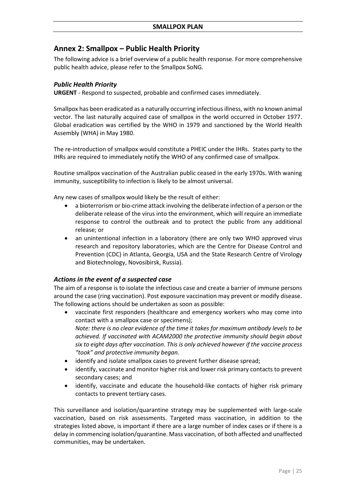## <span id="page-24-0"></span>**Annex 2: Smallpox – Public Health Priority**

The following advice is a brief overview of a public health response. For more comprehensive public health advice, please refer to the Smallpox SoNG.

## *Public Health Priority*

**URGENT** - Respond to suspected, probable and confirmed cases immediately.

Smallpox has been eradicated as a naturally occurring infectious illness, with no known animal vector. The last naturally acquired case of smallpox in the world occurred in October 1977. Global eradication was certified by the WHO in 1979 and sanctioned by the World Health Assembly (WHA) in May 1980.

The re-introduction of smallpox would constitute a PHEIC under the IHRs. States party to the IHRs are required to immediately notify the WHO of any confirmed case of smallpox.

Routine smallpox vaccination of the Australian public ceased in the early 1970s. With waning immunity, susceptibility to infection is likely to be almost universal.

Any new cases of smallpox would likely be the result of either:

- a bioterrorism or bio-crime attack involving the deliberate infection of a person or the deliberate release of the virus into the environment, which will require an immediate response to control the outbreak and to protect the public from any additional release; or
- an unintentional infection in a laboratory (there are only two WHO approved virus research and repository laboratories, which are the Centre for Disease Control and Prevention (CDC) in Atlanta, Georgia, USA and the State Research Centre of Virology and Biotechnology, Novosibirsk, Russia).

## *Actions in the event of a suspected case*

The aim of a response is to isolate the infectious case and create a barrier of immune persons around the case (ring vaccination). Post exposure vaccination may prevent or modify disease. The following actions should be undertaken as soon as possible:

- vaccinate first responders (healthcare and emergency workers who may come into contact with a smallpox case or specimens); *Note: there is no clear evidence of the time it takes for maximum antibody levels to be achieved. If vaccinated with ACAM2000 the protective immunity should begin about six to eight days after vaccination. This is only achieved however if the vaccine process "took" and protective immunity began.*
- identify and isolate smallpox cases to prevent further disease spread;
- identify, vaccinate and monitor higher risk and lower risk primary contacts to prevent secondary cases; and
- identify, vaccinate and educate the household-like contacts of higher risk primary contacts to prevent tertiary cases.

This surveillance and isolation/quarantine strategy may be supplemented with large-scale vaccination, based on risk assessments. Targeted mass vaccination, in addition to the strategies listed above, is important if there are a large number of index cases or if there is a delay in commencing isolation/quarantine. Mass vaccination, of both affected and unaffected communities, may be undertaken.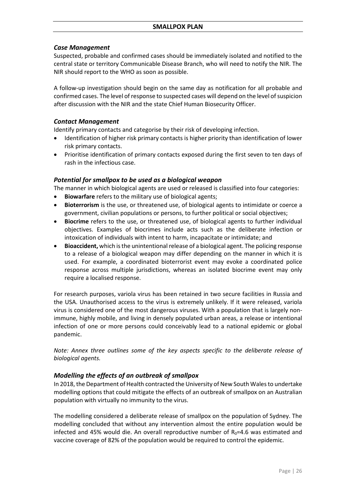## *Case Management*

Suspected, probable and confirmed cases should be immediately isolated and notified to the central state or territory Communicable Disease Branch, who will need to notify the NIR. The NIR should report to the WHO as soon as possible.

A follow-up investigation should begin on the same day as notification for all probable and confirmed cases. The level of response to suspected cases will depend on the level of suspicion after discussion with the NIR and the state Chief Human Biosecurity Officer.

## *Contact Management*

Identify primary contacts and categorise by their risk of developing infection.

- Identification of higher risk primary contacts is higher priority than identification of lower risk primary contacts.
- Prioritise identification of primary contacts exposed during the first seven to ten days of rash in the infectious case.

## *Potential for smallpox to be used as a biological weapon*

The manner in which biological agents are used or released is classified into four categories:

- **Biowarfare** refers to the military use of biological agents;
- **Bioterrorism** is the use, or threatened use, of biological agents to intimidate or coerce a government, civilian populations or persons, to further political or social objectives;
- **Biocrime** refers to the use, or threatened use, of biological agents to further individual objectives. Examples of biocrimes include acts such as the deliberate infection or intoxication of individuals with intent to harm, incapacitate or intimidate; and
- **Bioaccident,** which is the unintentional release of a biological agent. The policing response to a release of a biological weapon may differ depending on the manner in which it is used. For example, a coordinated bioterrorist event may evoke a coordinated police response across multiple jurisdictions, whereas an isolated biocrime event may only require a localised response.

For research purposes, variola virus has been retained in two secure facilities in Russia and the USA. Unauthorised access to the virus is extremely unlikely. If it were released, variola virus is considered one of the most dangerous viruses. With a population that is largely nonimmune, highly mobile, and living in densely populated urban areas, a release or intentional infection of one or more persons could conceivably lead to a national epidemic or global pandemic.

*Note: Annex three outlines some of the key aspects specific to the deliberate release of biological agents.*

## *Modelling the effects of an outbreak of smallpox*

In 2018, the Department of Health contracted the University of New South Wales to undertake modelling options that could mitigate the effects of an outbreak of smallpox on an Australian population with virtually no immunity to the virus.

The modelling considered a deliberate release of smallpox on the population of Sydney. The modelling concluded that without any intervention almost the entire population would be infected and 45% would die. An overall reproductive number of  $R_0$ =4.6 was estimated and vaccine coverage of 82% of the population would be required to control the epidemic.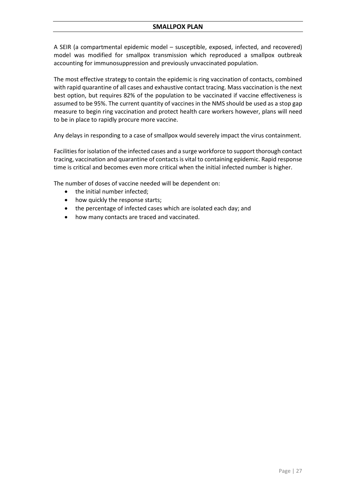A SEIR (a compartmental epidemic model – susceptible, exposed, infected, and recovered) model was modified for smallpox transmission which reproduced a smallpox outbreak accounting for immunosuppression and previously unvaccinated population.

The most effective strategy to contain the epidemic is ring vaccination of contacts, combined with rapid quarantine of all cases and exhaustive contact tracing. Mass vaccination is the next best option, but requires 82% of the population to be vaccinated if vaccine effectiveness is assumed to be 95%. The current quantity of vaccines in the NMS should be used as a stop gap measure to begin ring vaccination and protect health care workers however, plans will need to be in place to rapidly procure more vaccine.

Any delays in responding to a case of smallpox would severely impact the virus containment.

Facilities for isolation of the infected cases and a surge workforce to support thorough contact tracing, vaccination and quarantine of contacts is vital to containing epidemic. Rapid response time is critical and becomes even more critical when the initial infected number is higher.

The number of doses of vaccine needed will be dependent on:

- the initial number infected:
- how quickly the response starts;
- the percentage of infected cases which are isolated each day; and
- how many contacts are traced and vaccinated.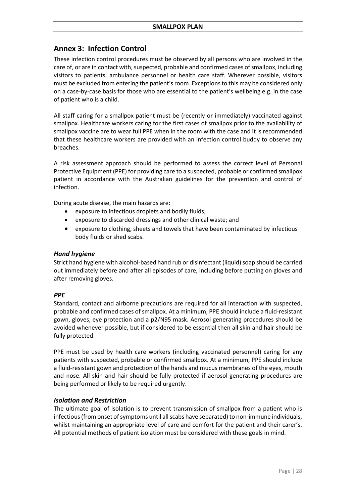## <span id="page-27-0"></span>**Annex 3: Infection Control**

These infection control procedures must be observed by all persons who are involved in the care of, or are in contact with, suspected, probable and confirmed cases of smallpox, including visitors to patients, ambulance personnel or health care staff. Wherever possible, visitors must be excluded from entering the patient's room. Exceptions to this may be considered only on a case-by-case basis for those who are essential to the patient's wellbeing e.g. in the case of patient who is a child.

All staff caring for a smallpox patient must be (recently or immediately) vaccinated against smallpox. Healthcare workers caring for the first cases of smallpox prior to the availability of smallpox vaccine are to wear full PPE when in the room with the case and it is recommended that these healthcare workers are provided with an infection control buddy to observe any breaches.

A risk assessment approach should be performed to assess the correct level of Personal Protective Equipment (PPE) for providing care to a suspected, probable or confirmed smallpox patient in accordance with the Australian guidelines for the prevention and control of infection.

During acute disease, the main hazards are:

- exposure to infectious droplets and bodily fluids;
- exposure to discarded dressings and other clinical waste; and
- exposure to clothing, sheets and towels that have been contaminated by infectious body fluids or shed scabs.

#### *Hand hygiene*

Strict hand hygiene with alcohol-based hand rub or disinfectant (liquid) soap should be carried out immediately before and after all episodes of care, including before putting on gloves and after removing gloves.

## *PPE*

Standard, contact and airborne precautions are required for all interaction with suspected, probable and confirmed cases of smallpox. At a minimum, PPE should include a fluid-resistant gown, gloves, eye protection and a p2/N95 mask. Aerosol generating procedures should be avoided whenever possible, but if considered to be essential then all skin and hair should be fully protected.

PPE must be used by health care workers (including vaccinated personnel) caring for any patients with suspected, probable or confirmed smallpox. At a minimum, PPE should include a fluid-resistant gown and protection of the hands and mucus membranes of the eyes, mouth and nose. All skin and hair should be fully protected if aerosol-generating procedures are being performed or likely to be required urgently.

## *Isolation and Restriction*

The ultimate goal of isolation is to prevent transmission of smallpox from a patient who is infectious (from onset of symptoms until all scabs have separated) to non-immune individuals, whilst maintaining an appropriate level of care and comfort for the patient and their carer's. All potential methods of patient isolation must be considered with these goals in mind.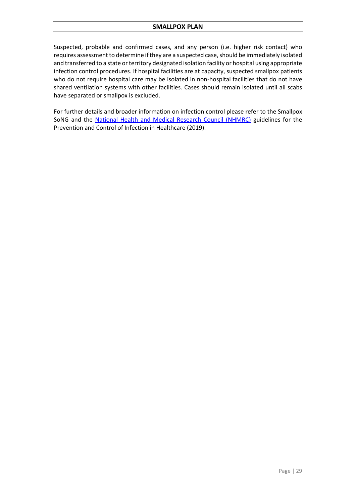## <span id="page-28-0"></span>**SMALLPOX PLAN**

Suspected, probable and confirmed cases, and any person (i.e. higher risk contact) who requires assessment to determine if they are a suspected case, should be immediately isolated and transferred to a state or territory designated isolation facility or hospital using appropriate infection control procedures. If hospital facilities are at capacity, suspected smallpox patients who do not require hospital care may be isolated in non-hospital facilities that do not have shared ventilation systems with other facilities. Cases should remain isolated until all scabs have separated or smallpox is excluded.

For further details and broader information on infection control please refer to the Smallpox SoNG and the [National Health and Medical Research Council \(NHMRC\)](https://www.nhmrc.gov.au/about-us/publications/australian-guidelines-prevention-and-control-infection-healthcare-2019) guidelines for the Prevention and Control of Infection in Healthcare (2019).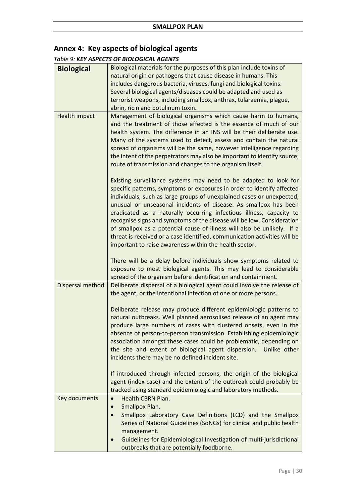## **Annex 4: Key aspects of biological agents**

## *Table 9: KEY ASPECTS OF BIOLOGICAL AGENTS*

| <b>Biological</b> | Biological materials for the purposes of this plan include toxins of                                                                                                                                                                                                                                                                                                                                                                                                                                                                                                                                                                                       |
|-------------------|------------------------------------------------------------------------------------------------------------------------------------------------------------------------------------------------------------------------------------------------------------------------------------------------------------------------------------------------------------------------------------------------------------------------------------------------------------------------------------------------------------------------------------------------------------------------------------------------------------------------------------------------------------|
|                   | natural origin or pathogens that cause disease in humans. This                                                                                                                                                                                                                                                                                                                                                                                                                                                                                                                                                                                             |
|                   | includes dangerous bacteria, viruses, fungi and biological toxins.                                                                                                                                                                                                                                                                                                                                                                                                                                                                                                                                                                                         |
|                   | Several biological agents/diseases could be adapted and used as                                                                                                                                                                                                                                                                                                                                                                                                                                                                                                                                                                                            |
|                   | terrorist weapons, including smallpox, anthrax, tularaemia, plague,                                                                                                                                                                                                                                                                                                                                                                                                                                                                                                                                                                                        |
| Health impact     | abrin, ricin and botulinum toxin.<br>Management of biological organisms which cause harm to humans,                                                                                                                                                                                                                                                                                                                                                                                                                                                                                                                                                        |
|                   | and the treatment of those affected is the essence of much of our<br>health system. The difference in an INS will be their deliberate use.<br>Many of the systems used to detect, assess and contain the natural<br>spread of organisms will be the same, however intelligence regarding<br>the intent of the perpetrators may also be important to identify source,<br>route of transmission and changes to the organism itself.                                                                                                                                                                                                                          |
|                   | Existing surveillance systems may need to be adapted to look for<br>specific patterns, symptoms or exposures in order to identify affected<br>individuals, such as large groups of unexplained cases or unexpected,<br>unusual or unseasonal incidents of disease. As smallpox has been<br>eradicated as a naturally occurring infectious illness, capacity to<br>recognise signs and symptoms of the disease will be low. Consideration<br>of smallpox as a potential cause of illness will also be unlikely. If a<br>threat is received or a case identified, communication activities will be<br>important to raise awareness within the health sector. |
|                   | There will be a delay before individuals show symptoms related to<br>exposure to most biological agents. This may lead to considerable<br>spread of the organism before identification and containment.                                                                                                                                                                                                                                                                                                                                                                                                                                                    |
| Dispersal method  | Deliberate dispersal of a biological agent could involve the release of<br>the agent, or the intentional infection of one or more persons.                                                                                                                                                                                                                                                                                                                                                                                                                                                                                                                 |
|                   | Deliberate release may produce different epidemiologic patterns to<br>natural outbreaks. Well planned aerosolised release of an agent may<br>produce large numbers of cases with clustered onsets, even in the<br>absence of person-to-person transmission. Establishing epidemiologic<br>association amongst these cases could be problematic, depending on<br>the site and extent of biological agent dispersion.<br>Unlike other<br>incidents there may be no defined incident site.                                                                                                                                                                    |
|                   | If introduced through infected persons, the origin of the biological<br>agent (index case) and the extent of the outbreak could probably be<br>tracked using standard epidemiologic and laboratory methods.                                                                                                                                                                                                                                                                                                                                                                                                                                                |
| Key documents     | <b>Health CBRN Plan.</b><br>$\bullet$                                                                                                                                                                                                                                                                                                                                                                                                                                                                                                                                                                                                                      |
|                   | Smallpox Plan.<br>$\bullet$                                                                                                                                                                                                                                                                                                                                                                                                                                                                                                                                                                                                                                |
|                   | Smallpox Laboratory Case Definitions (LCD) and the Smallpox<br>$\bullet$<br>Series of National Guidelines (SoNGs) for clinical and public health<br>management.                                                                                                                                                                                                                                                                                                                                                                                                                                                                                            |
|                   | Guidelines for Epidemiological Investigation of multi-jurisdictional                                                                                                                                                                                                                                                                                                                                                                                                                                                                                                                                                                                       |
|                   | outbreaks that are potentially foodborne.                                                                                                                                                                                                                                                                                                                                                                                                                                                                                                                                                                                                                  |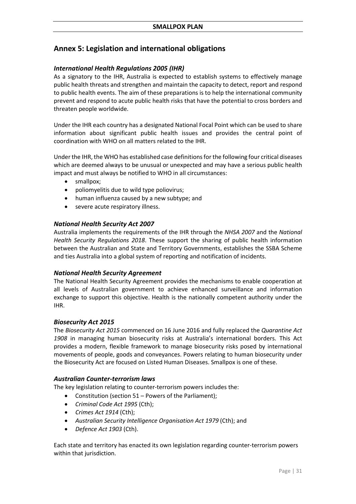## <span id="page-30-0"></span>**Annex 5: Legislation and international obligations**

## *International Health Regulations 2005 (IHR)*

As a signatory to the IHR, Australia is expected to establish systems to effectively manage public health threats and strengthen and maintain the capacity to detect, report and respond to public health events. The aim of these preparations is to help the international community prevent and respond to acute public health risks that have the potential to cross borders and threaten people worldwide.

Under the IHR each country has a designated National Focal Point which can be used to share information about significant public health issues and provides the central point of coordination with WHO on all matters related to the IHR.

Under the IHR, the WHO has established case definitions for the following four critical diseases which are deemed always to be unusual or unexpected and may have a serious public health impact and must always be notified to WHO in all circumstances:

- smallpox;
- poliomyelitis due to wild type poliovirus;
- human influenza caused by a new subtype; and
- severe acute respiratory illness.

## *National Health Security Act 2007*

Australia implements the requirements of the IHR through the *NHSA 2007* and the *National Health Security Regulations 2018*. These support the sharing of public health information between the Australian and State and Territory Governments, establishes the SSBA Scheme and ties Australia into a global system of reporting and notification of incidents.

#### *National Health Security Agreement*

The National Health Security Agreement provides the mechanisms to enable cooperation at all levels of Australian government to achieve enhanced surveillance and information exchange to support this objective. Health is the nationally competent authority under the IHR.

#### *Biosecurity Act 2015*

The *Biosecurity Act 2015* commenced on 16 June 2016 and fully replaced the *Quarantine Act 1908* in managing human biosecurity risks at Australia's international borders. This Act provides a modern, flexible framework to manage biosecurity risks posed by international movements of people, goods and conveyances. Powers relating to human biosecurity under the Biosecurity Act are focused on Listed Human Diseases. Smallpox is one of these.

#### *Australian Counter-terrorism laws*

The key legislation relating to counter-terrorism powers includes the:

- Constitution (section 51 Powers of the Parliament);
- *Criminal Code Act 1995* (Cth);
- *Crimes Act 1914* (Cth);
- *Australian Security Intelligence Organisation Act 1979* (Cth); and
- *Defence Act 1903* (Cth).

Each state and territory has enacted its own legislation regarding counter-terrorism powers within that jurisdiction.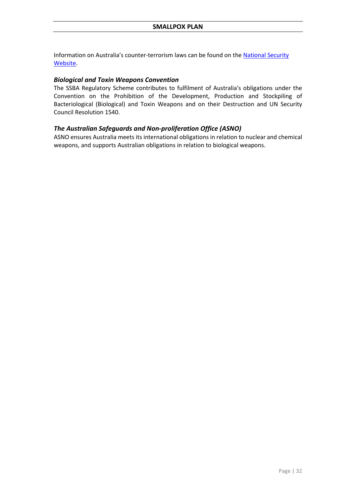Information on Australia's counter-terrorism laws can be found on the **National Security** [Website.](http://www.nationalsecurity.gov.au/)

## *Biological and Toxin Weapons Convention*

The SSBA Regulatory Scheme contributes to fulfilment of Australia's obligations under the Convention on the Prohibition of the Development, Production and Stockpiling of Bacteriological (Biological) and Toxin Weapons and on their Destruction and UN Security Council Resolution 1540.

## *The Australian Safeguards and Non-proliferation Office (ASNO)*

ASNO ensures Australia meets its international obligations in relation to nuclear and chemical weapons, and supports Australian obligations in relation to biological weapons.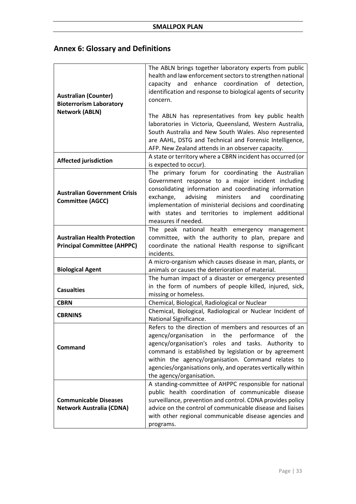# <span id="page-32-0"></span>**Annex 6: Glossary and Definitions**

| <b>Australian (Counter)</b><br><b>Bioterrorism Laboratory</b><br><b>Network (ABLN)</b> | The ABLN brings together laboratory experts from public<br>health and law enforcement sectors to strengthen national<br>enhance coordination of detection,<br>and<br>capacity<br>identification and response to biological agents of security<br>concern.<br>The ABLN has representatives from key public health                                                         |
|----------------------------------------------------------------------------------------|--------------------------------------------------------------------------------------------------------------------------------------------------------------------------------------------------------------------------------------------------------------------------------------------------------------------------------------------------------------------------|
|                                                                                        | laboratories in Victoria, Queensland, Western Australia,<br>South Australia and New South Wales. Also represented<br>are AAHL, DSTG and Technical and Forensic Intelligence,<br>AFP. New Zealand attends in an observer capacity.                                                                                                                                        |
| <b>Affected jurisdiction</b>                                                           | A state or territory where a CBRN incident has occurred (or<br>is expected to occur).                                                                                                                                                                                                                                                                                    |
| <b>Australian Government Crisis</b><br><b>Committee (AGCC)</b>                         | The primary forum for coordinating the Australian<br>Government response to a major incident including<br>consolidating information and coordinating information<br>and<br>exchange,<br>advising<br>ministers<br>coordinating<br>implementation of ministerial decisions and coordinating<br>with states and territories to implement additional<br>measures if needed.  |
| <b>Australian Health Protection</b><br><b>Principal Committee (AHPPC)</b>              | peak national health emergency management<br>The<br>committee, with the authority to plan, prepare and<br>coordinate the national Health response to significant<br>incidents.                                                                                                                                                                                           |
| <b>Biological Agent</b>                                                                | A micro-organism which causes disease in man, plants, or<br>animals or causes the deterioration of material.                                                                                                                                                                                                                                                             |
| <b>Casualties</b>                                                                      | The human impact of a disaster or emergency presented<br>in the form of numbers of people killed, injured, sick,<br>missing or homeless.                                                                                                                                                                                                                                 |
| <b>CBRN</b>                                                                            | Chemical, Biological, Radiological or Nuclear                                                                                                                                                                                                                                                                                                                            |
| <b>CBRNINS</b>                                                                         | Chemical, Biological, Radiological or Nuclear Incident of<br>National Significance.                                                                                                                                                                                                                                                                                      |
| Command                                                                                | Refers to the direction of members and resources of an<br>agency/organisation in the performance of the<br>agency/organisation's roles and tasks. Authority to<br>command is established by legislation or by agreement<br>within the agency/organisation. Command relates to<br>agencies/organisations only, and operates vertically within<br>the agency/organisation. |
| <b>Communicable Diseases</b><br><b>Network Australia (CDNA)</b>                        | A standing-committee of AHPPC responsible for national<br>public health coordination of communicable disease<br>surveillance, prevention and control. CDNA provides policy<br>advice on the control of communicable disease and liaises<br>with other regional communicable disease agencies and<br>programs.                                                            |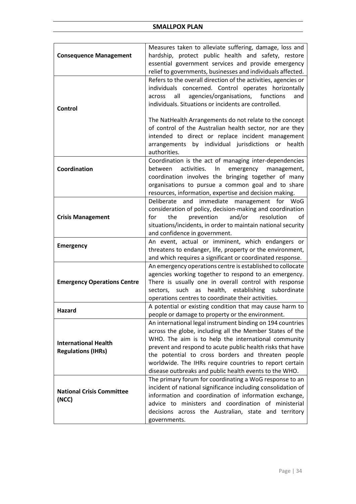| <b>Consequence Management</b>                            | Measures taken to alleviate suffering, damage, loss and<br>hardship, protect public health and safety, restore         |
|----------------------------------------------------------|------------------------------------------------------------------------------------------------------------------------|
|                                                          | essential government services and provide emergency                                                                    |
|                                                          | relief to governments, businesses and individuals affected.                                                            |
|                                                          | Refers to the overall direction of the activities, agencies or                                                         |
|                                                          | individuals concerned. Control operates horizontally<br>all<br>agencies/organisations,<br>functions<br>across<br>and   |
|                                                          | individuals. Situations or incidents are controlled.                                                                   |
| Control                                                  |                                                                                                                        |
|                                                          | The NatHealth Arrangements do not relate to the concept                                                                |
|                                                          | of control of the Australian health sector, nor are they                                                               |
|                                                          | intended to direct or replace incident management                                                                      |
|                                                          | arrangements by individual jurisdictions or<br>health<br>authorities.                                                  |
|                                                          | Coordination is the act of managing inter-dependencies                                                                 |
| Coordination                                             | activities.<br>between<br>In<br>emergency<br>management,                                                               |
|                                                          | coordination involves the bringing together of many                                                                    |
|                                                          | organisations to pursue a common goal and to share                                                                     |
|                                                          | resources, information, expertise and decision making.<br>Deliberate and immediate management for WoG                  |
|                                                          | consideration of policy, decision-making and coordination                                                              |
| <b>Crisis Management</b>                                 | and/or<br>resolution<br>for<br>the<br>prevention<br>οf                                                                 |
|                                                          | situations/incidents, in order to maintain national security                                                           |
|                                                          | and confidence in government.                                                                                          |
| <b>Emergency</b>                                         | An event, actual or imminent, which endangers or<br>threatens to endanger, life, property or the environment,          |
|                                                          | and which requires a significant or coordinated response.                                                              |
|                                                          | An emergency operations centre is established to collocate                                                             |
|                                                          | agencies working together to respond to an emergency.                                                                  |
| <b>Emergency Operations Centre</b>                       | There is usually one in overall control with response                                                                  |
|                                                          | sectors, such as health, establishing subordinate<br>operations centres to coordinate their activities.                |
| Hazard                                                   | A potential or existing condition that may cause harm to                                                               |
|                                                          | people or damage to property or the environment.                                                                       |
|                                                          | An international legal instrument binding on 194 countries<br>across the globe, including all the Member States of the |
|                                                          | WHO. The aim is to help the international community                                                                    |
| <b>International Health</b><br><b>Regulations (IHRs)</b> | prevent and respond to acute public health risks that have                                                             |
|                                                          | the potential to cross borders and threaten people                                                                     |
|                                                          | worldwide. The IHRs require countries to report certain                                                                |
|                                                          | disease outbreaks and public health events to the WHO.<br>The primary forum for coordinating a WoG response to an      |
|                                                          | incident of national significance including consolidation of                                                           |
| <b>National Crisis Committee</b><br>(NCC)                | information and coordination of information exchange,                                                                  |
|                                                          | advice to ministers and coordination of ministerial                                                                    |
|                                                          | decisions across the Australian, state and territory                                                                   |
|                                                          | governments.                                                                                                           |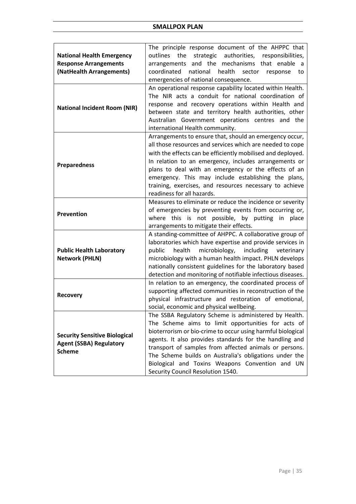|                                                                                         | The principle response document of the AHPPC that                 |
|-----------------------------------------------------------------------------------------|-------------------------------------------------------------------|
| <b>National Health Emergency</b>                                                        | authorities,<br>outlines<br>the<br>strategic<br>responsibilities, |
| <b>Response Arrangements</b>                                                            | arrangements and the mechanisms that enable a                     |
| (NatHealth Arrangements)                                                                | coordinated<br>national health<br>sector<br>response<br>to        |
|                                                                                         | emergencies of national consequence.                              |
|                                                                                         | An operational response capability located within Health.         |
|                                                                                         | The NIR acts a conduit for national coordination of               |
|                                                                                         | response and recovery operations within Health and                |
| <b>National Incident Room (NIR)</b>                                                     |                                                                   |
|                                                                                         | between state and territory health authorities, other             |
|                                                                                         | Australian Government operations centres and the                  |
|                                                                                         | international Health community.                                   |
|                                                                                         | Arrangements to ensure that, should an emergency occur,           |
|                                                                                         | all those resources and services which are needed to cope         |
|                                                                                         | with the effects can be efficiently mobilised and deployed.       |
|                                                                                         | In relation to an emergency, includes arrangements or             |
| <b>Preparedness</b>                                                                     | plans to deal with an emergency or the effects of an              |
|                                                                                         | emergency. This may include establishing the plans,               |
|                                                                                         | training, exercises, and resources necessary to achieve           |
|                                                                                         | readiness for all hazards.                                        |
|                                                                                         | Measures to eliminate or reduce the incidence or severity         |
|                                                                                         | of emergencies by preventing events from occurring or,            |
| <b>Prevention</b>                                                                       | where this is not possible, by putting in place                   |
|                                                                                         | arrangements to mitigate their effects.                           |
|                                                                                         |                                                                   |
|                                                                                         | A standing-committee of AHPPC. A collaborative group of           |
|                                                                                         | laboratories which have expertise and provide services in         |
| <b>Public Health Laboratory</b>                                                         | microbiology, including<br>health<br>public<br>veterinary         |
| <b>Network (PHLN)</b>                                                                   | microbiology with a human health impact. PHLN develops            |
|                                                                                         | nationally consistent guidelines for the laboratory based         |
|                                                                                         | detection and monitoring of notifiable infectious diseases.       |
|                                                                                         | In relation to an emergency, the coordinated process of           |
| <b>Recovery</b>                                                                         | supporting affected communities in reconstruction of the          |
|                                                                                         | physical infrastructure and restoration of emotional,             |
|                                                                                         | social, economic and physical wellbeing.                          |
|                                                                                         | The SSBA Regulatory Scheme is administered by Health.             |
|                                                                                         | The Scheme aims to limit opportunities for acts of                |
| <b>Security Sensitive Biological</b><br><b>Agent (SSBA) Regulatory</b><br><b>Scheme</b> | bioterrorism or bio-crime to occur using harmful biological       |
|                                                                                         | agents. It also provides standards for the handling and           |
|                                                                                         | transport of samples from affected animals or persons.            |
|                                                                                         | The Scheme builds on Australia's obligations under the            |
|                                                                                         | Biological and Toxins Weapons Convention and UN                   |
|                                                                                         | Security Council Resolution 1540.                                 |